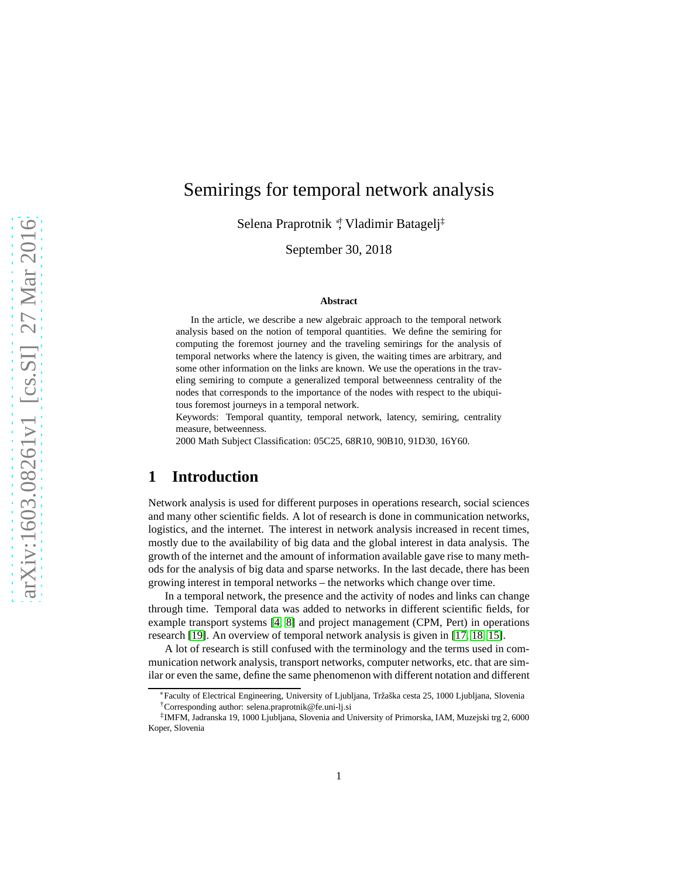# Semirings for temporal network analysis

Selena Praprotnik <sup>∗</sup>† , Vladimir Batagelj‡

September 30, 2018

#### **Abstract**

In the article, we describe a new algebraic approach to the temporal network analysis based on the notion of temporal quantities. We define the semiring for computing the foremost journey and the traveling semirings for the analysis of temporal networks where the latency is given, the waiting times are arbitrary, and some other information on the links are known. We use the operations in the traveling semiring to compute a generalized temporal betweenness centrality of the nodes that corresponds to the importance of the nodes with respect to the ubiquitous foremost journeys in a temporal network.

Keywords: Temporal quantity, temporal network, latency, semiring, centrality measure, betweenness.

2000 Math Subject Classification: 05C25, 68R10, 90B10, 91D30, 16Y60.

## **1 Introduction**

Network analysis is used for different purposes in operations research, social sciences and many other scientific fields. A lot of research is done in communication networks, logistics, and the internet. The interest in network analysis increased in recent times, mostly due to the availability of big data and the global interest in data analysis. The growth of the internet and the amount of information available gave rise to many methods for the analysis of big data and sparse networks. In the last decade, there has been growing interest in temporal networks – the networks which change over time.

In a temporal network, the presence and the activity of nodes and links can change through time. Temporal data was added to networks in different scientific fields, for example transport systems [\[4,](#page-26-0) [8\]](#page-26-1) and project management (CPM, Pert) in operations research [\[19\]](#page-27-0). An overview of temporal network analysis is given in [\[17,](#page-27-1) [18,](#page-27-2) [15\]](#page-27-3).

A lot of research is still confused with the terminology and the terms used in communication network analysis, transport networks, computer networks, etc. that are similar or even the same, define the same phenomenon with different notation and different

<sup>∗</sup>Faculty of Electrical Engineering, University of Ljubljana, Tržaška cesta 25, 1000 Ljubljana, Slovenia †Corresponding author: selena.praprotnik@fe.uni-lj.si

<sup>‡</sup> IMFM, Jadranska 19, 1000 Ljubljana, Slovenia and University of Primorska, IAM, Muzejski trg 2, 6000 Koper, Slovenia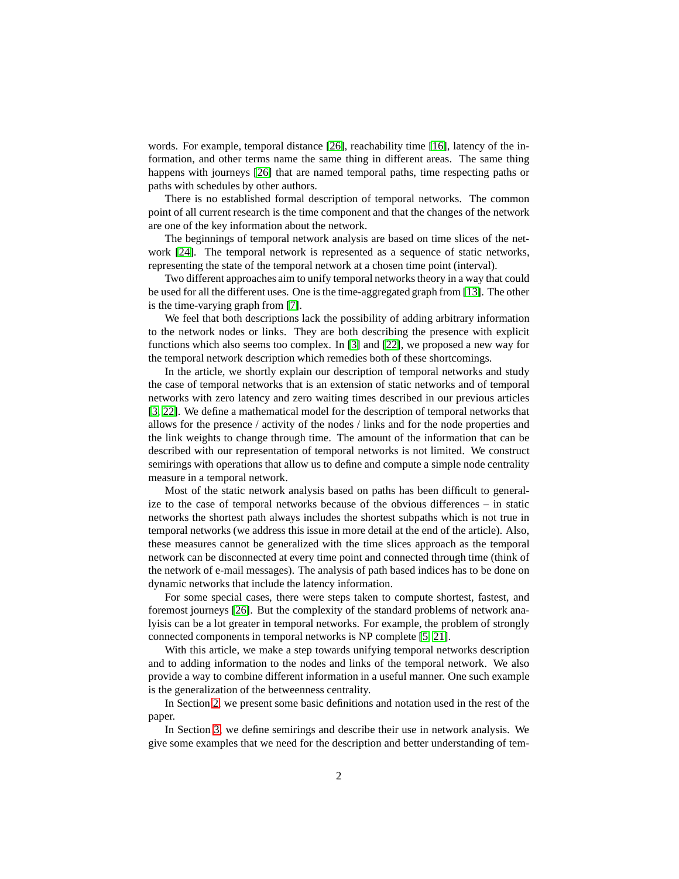words. For example, temporal distance [\[26\]](#page-27-4), reachability time [\[16\]](#page-27-5), latency of the information, and other terms name the same thing in different areas. The same thing happens with journeys [\[26\]](#page-27-4) that are named temporal paths, time respecting paths or paths with schedules by other authors.

There is no established formal description of temporal networks. The common point of all current research is the time component and that the changes of the network are one of the key information about the network.

The beginnings of temporal network analysis are based on time slices of the network [\[24\]](#page-27-6). The temporal network is represented as a sequence of static networks, representing the state of the temporal network at a chosen time point (interval).

Two different approaches aim to unify temporal networks theory in a way that could be used for all the different uses. One is the time-aggregated graph from [13]. The other is the time-varying graph from [\[7\]](#page-26-2).

We feel that both descriptions lack the possibility of adding arbitrary information to the network nodes or links. They are both describing the presence with explicit functions which also seems too complex. In [\[3\]](#page-26-3) and [\[22\]](#page-27-7), we proposed a new way for the temporal network description which remedies both of these shortcomings.

In the article, we shortly explain our description of temporal networks and study the case of temporal networks that is an extension of static networks and of temporal networks with zero latency and zero waiting times described in our previous articles [\[3,](#page-26-3) [22\]](#page-27-7). We define a mathematical model for the description of temporal networks that allows for the presence / activity of the nodes / links and for the node properties and the link weights to change through time. The amount of the information that can be described with our representation of temporal networks is not limited. We construct semirings with operations that allow us to define and compute a simple node centrality measure in a temporal network.

Most of the static network analysis based on paths has been difficult to generalize to the case of temporal networks because of the obvious differences – in static networks the shortest path always includes the shortest subpaths which is not true in temporal networks (we address this issue in more detail at the end of the article). Also, these measures cannot be generalized with the time slices approach as the temporal network can be disconnected at every time point and connected through time (think of the network of e-mail messages). The analysis of path based indices has to be done on dynamic networks that include the latency information.

For some special cases, there were steps taken to compute shortest, fastest, and foremost journeys [\[26\]](#page-27-4). But the complexity of the standard problems of network analyisis can be a lot greater in temporal networks. For example, the problem of strongly connected components in temporal networks is NP complete [\[5,](#page-26-4) 21].

With this article, we make a step towards unifying temporal networks description and to adding information to the nodes and links of the temporal network. We also provide a way to combine different information in a useful manner. One such example is the generalization of the betweenness centrality.

In Section [2,](#page-2-0) we present some basic definitions and notation used in the rest of the paper.

In Section [3,](#page-3-0) we define semirings and describe their use in network analysis. We give some examples that we need for the description and better understanding of tem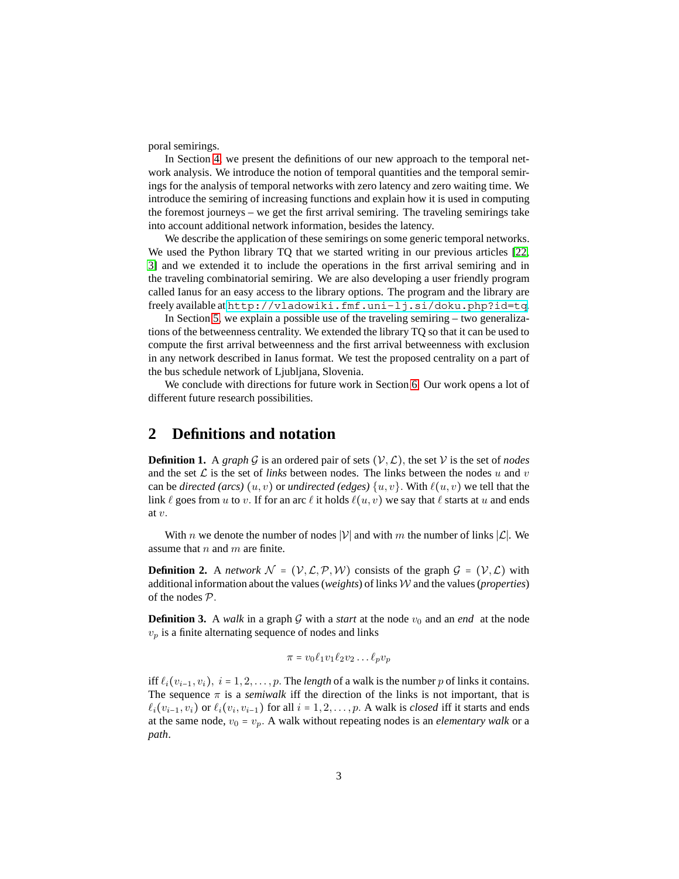poral semirings.

In Section [4,](#page-6-0) we present the definitions of our new approach to the temporal network analysis. We introduce the notion of temporal quantities and the temporal semirings for the analysis of temporal networks with zero latency and zero waiting time. We introduce the semiring of increasing functions and explain how it is used in computing the foremost journeys – we get the first arrival semiring. The traveling semirings take into account additional network information, besides the latency.

We describe the application of these semirings on some generic temporal networks. We used the Python library TQ that we started writing in our previous articles [\[22,](#page-27-7) [3\]](#page-26-3) and we extended it to include the operations in the first arrival semiring and in the traveling combinatorial semiring. We are also developing a user friendly program called Ianus for an easy access to the library options. The program and the library are freely available at <http://vladowiki.fmf.uni-lj.si/doku.php?id=tq>.

In Section [5,](#page-17-0) we explain a possible use of the traveling semiring – two generalizations of the betweenness centrality. We extended the library TQ so that it can be used to compute the first arrival betweenness and the first arrival betweenness with exclusion in any network described in Ianus format. We test the proposed centrality on a part of the bus schedule network of Ljubljana, Slovenia.

We conclude with directions for future work in Section [6.](#page-25-0) Our work opens a lot of different future research possibilities.

## <span id="page-2-0"></span>**2 Definitions and notation**

**Definition 1.** A *graph* G is an ordered pair of sets  $(V, \mathcal{L})$ , the set V is the set of *nodes* and the set  $\mathcal L$  is the set of *links* between nodes. The links between the nodes  $u$  and  $v$ can be *directed (arcs)*  $(u, v)$  or *undirected (edges)*  $\{u, v\}$ . With  $\ell(u, v)$  we tell that the link  $\ell$  goes from  $u$  to  $v$ . If for an arc  $\ell$  it holds  $\ell(u, v)$  we say that  $\ell$  starts at  $u$  and ends at *v.*

With *n* we denote the number of nodes |V| and with *m* the number of links  $|\mathcal{L}|$ . We assume that *n* and *m* are finite.

**Definition 2.** A *network*  $\mathcal{N} = (\mathcal{V}, \mathcal{L}, \mathcal{P}, \mathcal{W})$  consists of the graph  $\mathcal{G} = (\mathcal{V}, \mathcal{L})$  with additional information about the values (*weights*) of links W and the values (*properties*) of the nodes P*.*

**Definition 3.** A *walk* in a graph G with a *start* at the node  $v_0$  and an *end* at the node  $v_p$  is a finite alternating sequence of nodes and links

$$
\pi = v_0 \ell_1 v_1 \ell_2 v_2 \dots \ell_p v_p
$$

iff  $\ell_i(v_{i-1}, v_i)$ ,  $i = 1, 2, \ldots, p$ . The *length* of a walk is the number p of links it contains. The sequence  $\pi$  is a *semiwalk* iff the direction of the links is not important, that is  $\ell_i(v_{i-1}, v_i)$  or  $\ell_i(v_i, v_{i-1})$  for all  $i = 1, 2, \ldots, p$ . A walk is *closed* iff it starts and ends at the same node,  $v_0 = v_p$ . A walk without repeating nodes is an *elementary walk* or a *path*.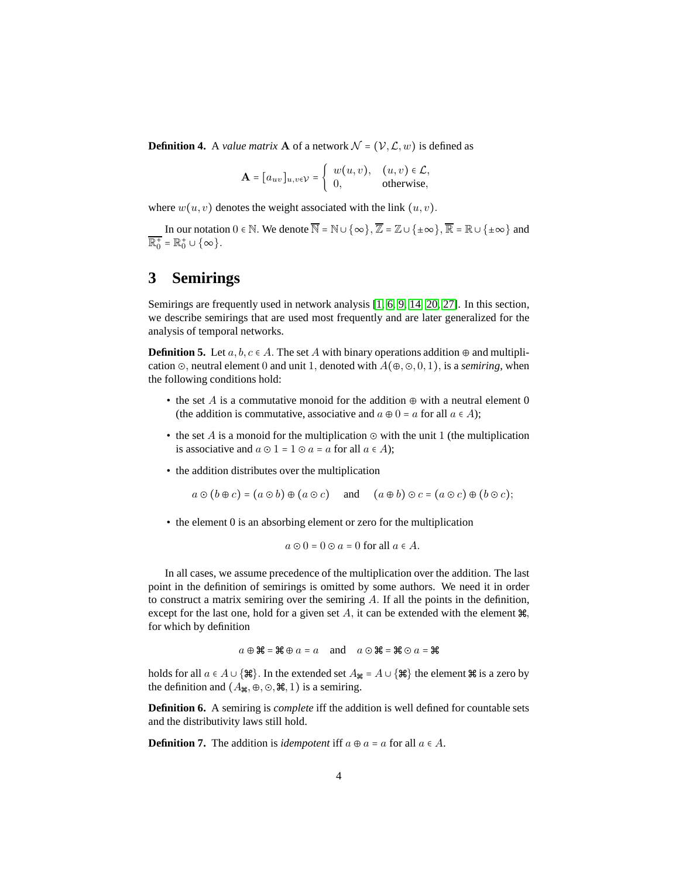**Definition 4.** A *value matrix* **A** of a network  $\mathcal{N} = (\mathcal{V}, \mathcal{L}, w)$  is defined as

$$
\mathbf{A} = [a_{uv}]_{u,v \in \mathcal{V}} = \begin{cases} w(u,v), & (u,v) \in \mathcal{L}, \\ 0, & \text{otherwise}, \end{cases}
$$

where  $w(u, v)$  denotes the weight associated with the link  $(u, v)$ .

In our notation  $0 \in \mathbb{N}$ . We denote  $\overline{\mathbb{N}} = \mathbb{N} \cup \{\infty\}$ ,  $\overline{\mathbb{Z}} = \mathbb{Z} \cup \{\pm \infty\}$ ,  $\overline{\mathbb{R}} = \mathbb{R} \cup \{\pm \infty\}$  and  $\overline{\mathbb{R}^+_0} = \mathbb{R}^+_0 \cup \{\infty\}.$ 

# <span id="page-3-0"></span>**3 Semirings**

Semirings are frequently used in network analysis [1, [6,](#page-26-5) [9,](#page-26-6) [14,](#page-26-7) [20,](#page-27-8) [27\]](#page-27-9). In this section, we describe semirings that are used most frequently and are later generalized for the analysis of temporal networks.

**Definition 5.** Let  $a, b, c \in A$ . The set *A* with binary operations addition  $\oplus$  and multiplication ⊙*,* neutral element 0 and unit 1*,* denoted with *A*(⊕*,* ⊙*,* 0*,* 1)*,* is a *semiring*, when the following conditions hold:

- the set *A* is a commutative monoid for the addition  $\oplus$  with a neutral element 0 (the addition is commutative, associative and  $a \oplus 0 = a$  for all  $a \in A$ );
- the set *A* is a monoid for the multiplication ⊙ with the unit 1 (the multiplication is associative and  $a \odot 1 = 1 \odot a = a$  for all  $a \in A$ );
- the addition distributes over the multiplication

$$
a \odot (b \oplus c) = (a \odot b) \oplus (a \odot c)
$$
 and  $(a \oplus b) \odot c = (a \odot c) \oplus (b \odot c)$ ;

• the element 0 is an absorbing element or zero for the multiplication

$$
a \odot 0 = 0 \odot a = 0 \text{ for all } a \in A.
$$

In all cases, we assume precedence of the multiplication over the addition. The last point in the definition of semirings is omitted by some authors. We need it in order to construct a matrix semiring over the semiring *A.* If all the points in the definition, except for the last one, hold for a given set  $A$ , it can be extended with the element  $\mathcal{H}$ , for which by definition

$$
a \oplus \mathfrak{H} = \mathfrak{H} \oplus a = a
$$
 and  $a \odot \mathfrak{H} = \mathfrak{H} \odot a = \mathfrak{H}$ 

holds for all  $a \in A \cup \{\#\}$ . In the extended set  $A_{\#\} = A \cup \{\#\}$  the element  $\#\$  is a zero by the definition and  $(A_{\mathbb{H}}, \oplus, \odot, \mathbb{H}, 1)$  is a semiring.

**Definition 6.** A semiring is *complete* iff the addition is well defined for countable sets and the distributivity laws still hold.

**Definition 7.** The addition is *idempotent* iff  $a \oplus a = a$  for all  $a \in A$ .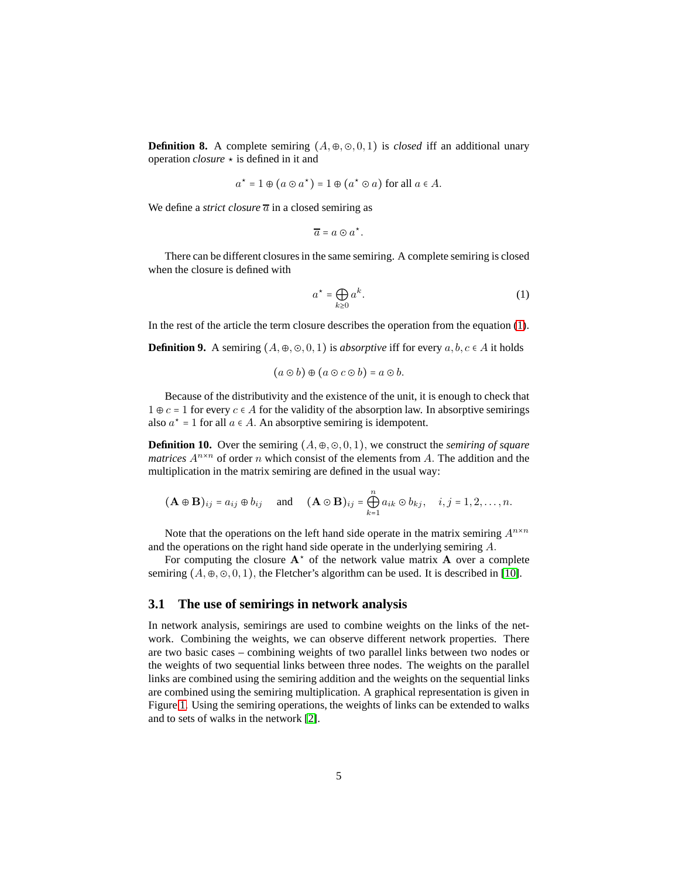**Definition 8.** A complete semiring  $(A, \oplus, \odot, 0, 1)$  is *closed* iff an additional unary operation *closure*  $\star$  is defined in it and

$$
a^* = 1 \oplus (a \odot a^*) = 1 \oplus (a^* \odot a)
$$
 for all  $a \in A$ .

We define a *strict closure*  $\overline{a}$  in a closed semiring as

 $\overline{a} = a \odot a^*$ .

There can be different closures in the same semiring. A complete semiring is closed when the closure is defined with

<span id="page-4-0"></span>
$$
a^* = \bigoplus_{k \ge 0} a^k. \tag{1}
$$

In the rest of the article the term closure describes the operation from the equation [\(1\)](#page-4-0). **Definition 9.** A semiring  $(A, \oplus, \odot, 0, 1)$  is *absorptive* iff for every  $a, b, c \in A$  it holds

$$
(a\odot b)\oplus (a\odot c\odot b)=a\odot b.
$$

Because of the distributivity and the existence of the unit, it is enough to check that  $1 \oplus c = 1$  for every  $c \in A$  for the validity of the absorption law. In absorptive semirings also  $a^* = 1$  for all  $a \in A$ . An absorptive semiring is idempotent.

**Definition 10.** Over the semiring  $(A, \oplus, \odot, 0, 1)$ , we construct the *semiring of square matrices*  $A^{n \times n}$  of order *n* which consist of the elements from *A*. The addition and the multiplication in the matrix semiring are defined in the usual way:

$$
(\mathbf{A} \oplus \mathbf{B})_{ij} = a_{ij} \oplus b_{ij}
$$
 and  $(\mathbf{A} \odot \mathbf{B})_{ij} = \bigoplus_{k=1}^{n} a_{ik} \odot b_{kj}, i, j = 1, 2, ..., n.$ 

Note that the operations on the left hand side operate in the matrix semiring  $A^{n \times n}$ and the operations on the right hand side operate in the underlying semiring *A.*

For computing the closure  $A^*$  of the network value matrix  $A$  over a complete semiring  $(A, \oplus, \odot, 0, 1)$ , the Fletcher's algorithm can be used. It is described in [\[10\]](#page-26-8).

## **3.1 The use of semirings in network analysis**

In network analysis, semirings are used to combine weights on the links of the network. Combining the weights, we can observe different network properties. There are two basic cases – combining weights of two parallel links between two nodes or the weights of two sequential links between three nodes. The weights on the parallel links are combined using the semiring addition and the weights on the sequential links are combined using the semiring multiplication. A graphical representation is given in Figure [1.](#page-5-0) Using the semiring operations, the weights of links can be extended to walks and to sets of walks in the network [\[2\]](#page-26-9).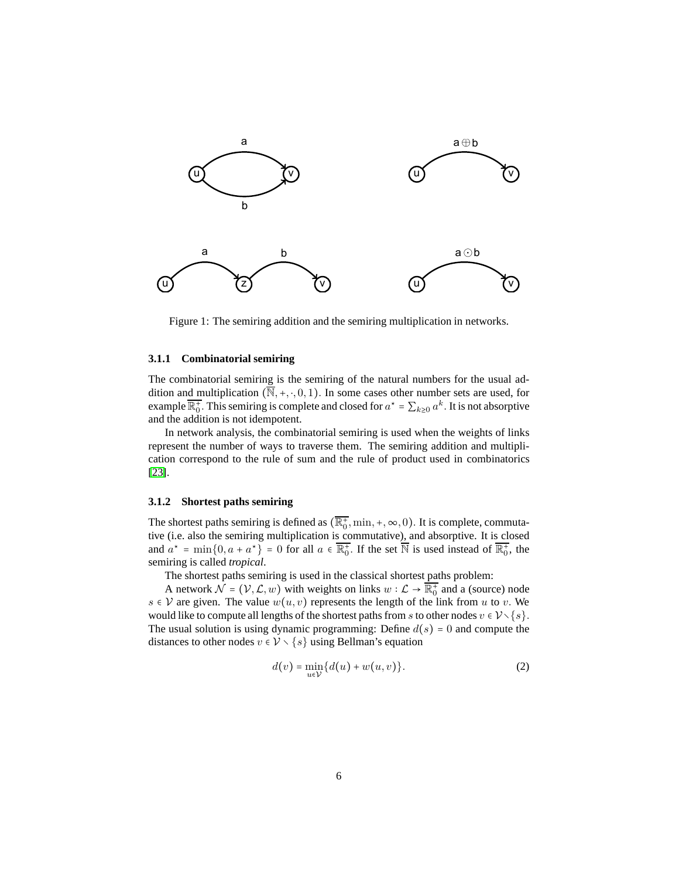<span id="page-5-0"></span>

Figure 1: The semiring addition and the semiring multiplication in networks.

#### **3.1.1 Combinatorial semiring**

The combinatorial semiring is the semiring of the natural numbers for the usual addition and multiplication  $(\overline{N}, +, \cdot, 0, 1)$ . In some cases other number sets are used, for example  $\overline{\mathbb{R}_0^+}$ . This semiring is complete and closed for  $a^* = \sum_{k\geq 0} a^k$ . It is not absorptive and the addition is not idempotent.

In network analysis, the combinatorial semiring is used when the weights of links represent the number of ways to traverse them. The semiring addition and multiplication correspond to the rule of sum and the rule of product used in combinatorics [\[23\]](#page-27-10).

#### **3.1.2 Shortest paths semiring**

The shortest paths semiring is defined as  $(\overline{\mathbb{R}_0^+}, \min, +, \infty, 0)$ . It is complete, commutative (i.e. also the semiring multiplication is commutative), and absorptive. It is closed and  $a^* = \min\{0, a + a^*\} = 0$  for all  $a \in \overline{\mathbb{R}^+_0}$ . If the set  $\overline{\mathbb{N}}$  is used instead of  $\overline{\mathbb{R}^+_0}$ , the semiring is called *tropical*.

The shortest paths semiring is used in the classical shortest paths problem:

A network  $\mathcal{N} = (\mathcal{V}, \mathcal{L}, w)$  with weights on links  $w : \mathcal{L} \to \overline{\mathbb{R}^+_0}$  and a (source) node *s* ∈ *V* are given. The value  $w(u, v)$  represents the length of the link from *u* to *v*. We would like to compute all lengths of the shortest paths from *s* to other nodes  $v \in V \setminus \{s\}$ . The usual solution is using dynamic programming: Define  $d(s) = 0$  and compute the distances to other nodes  $v \in V \setminus \{s\}$  using Bellman's equation

<span id="page-5-1"></span>
$$
d(v) = \min_{u \in V} \{d(u) + w(u, v)\}.
$$
 (2)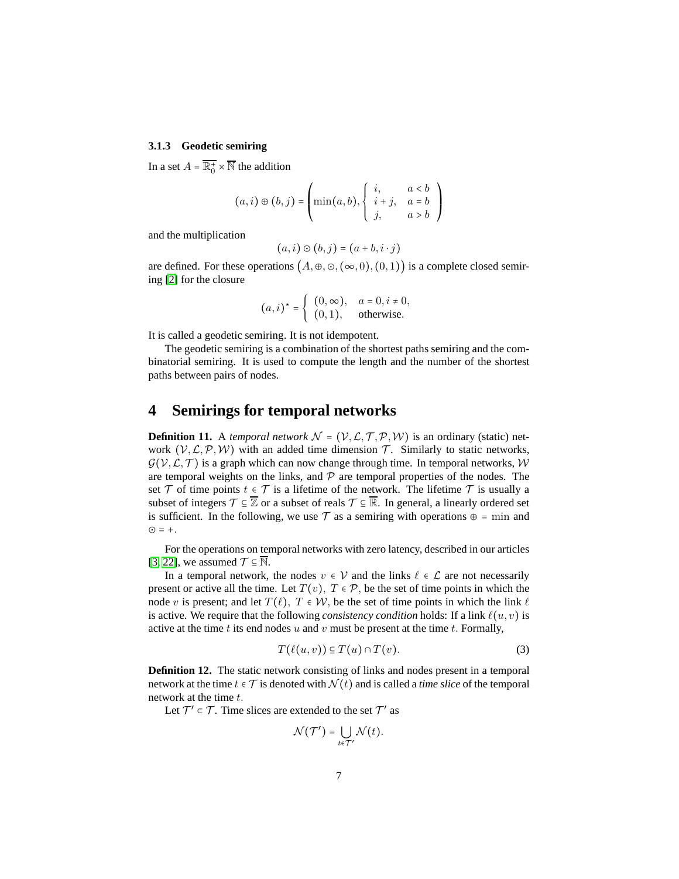### <span id="page-6-1"></span>**3.1.3 Geodetic semiring**

In a set  $A = \overline{\mathbb{R}^+_0} \times \overline{\mathbb{N}}$  the addition

$$
(a,i) \oplus (b,j) = \left(\min(a,b), \begin{cases} i, & a < b \\ i+j, & a = b \\ j, & a > b \end{cases}\right)
$$

and the multiplication

$$
(a,i)\odot(b,j)=(a+b,i\cdot j)
$$

are defined. For these operations  $(A, \oplus, \odot, (\infty, 0), (0, 1))$  is a complete closed semiring [\[2\]](#page-26-9) for the closure

$$
(a,i)^* = \begin{cases} (0,\infty), & a = 0, i \neq 0, \\ (0,1), & \text{otherwise.} \end{cases}
$$

It is called a geodetic semiring. It is not idempotent.

The geodetic semiring is a combination of the shortest paths semiring and the combinatorial semiring. It is used to compute the length and the number of the shortest paths between pairs of nodes.

## <span id="page-6-0"></span>**4 Semirings for temporal networks**

**Definition 11.** A *temporal network*  $\mathcal{N} = (\mathcal{V}, \mathcal{L}, \mathcal{T}, \mathcal{P}, \mathcal{W})$  is an ordinary (static) network  $(V, \mathcal{L}, \mathcal{P}, \mathcal{W})$  with an added time dimension  $\mathcal{T}$ . Similarly to static networks,  $G(V, \mathcal{L}, \mathcal{T})$  is a graph which can now change through time. In temporal networks, W are temporal weights on the links, and  $P$  are temporal properties of the nodes. The set  $\mathcal T$  of time points  $t \in \mathcal T$  is a lifetime of the network. The lifetime  $\mathcal T$  is usually a subset of integers  $\mathcal{T} \subseteq \overline{\mathbb{Z}}$  or a subset of reals  $\mathcal{T} \subseteq \overline{\mathbb{R}}$ . In general, a linearly ordered set is sufficient. In the following, we use  $\mathcal T$  as a semiring with operations  $\oplus$  = min and ⊙ = +*.*

For the operations on temporal networks with zero latency, described in our articles [\[3,](#page-26-3) [22\]](#page-27-7), we assumed  $\mathcal{T} \subseteq \mathbb{N}$ .

In a temporal network, the nodes  $v \in V$  and the links  $\ell \in L$  are not necessarily present or active all the time. Let  $T(v)$ ,  $T \in \mathcal{P}$ , be the set of time points in which the node *v* is present; and let  $T(\ell)$ ,  $T \in W$ , be the set of time points in which the link  $\ell$ is active. We require that the following *consistency condition* holds: If a link *ℓ*(*u, v*) is active at the time *t* its end nodes *u* and *v* must be present at the time *t.* Formally,

$$
T(\ell(u,v)) \subseteq T(u) \cap T(v). \tag{3}
$$

**Definition 12.** The static network consisting of links and nodes present in a temporal network at the time  $t \in \mathcal{T}$  is denoted with  $\mathcal{N}(t)$  and is called a *time slice* of the temporal network at the time *t.*

Let  $\mathcal{T}' \subset \mathcal{T}$ . Time slices are extended to the set  $\mathcal{T}'$  as

$$
\mathcal{N}(\mathcal{T}') = \bigcup_{t \in \mathcal{T}'} \mathcal{N}(t).
$$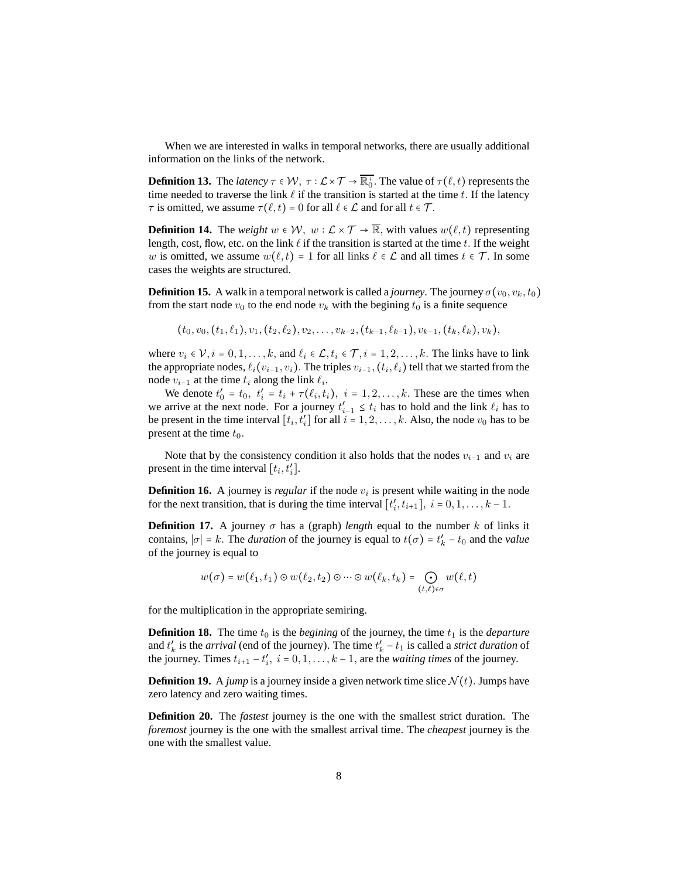When we are interested in walks in temporal networks, there are usually additional information on the links of the network.

**Definition 13.** The *latency*  $\tau \in W$ ,  $\tau : \mathcal{L} \times \mathcal{T} \to \overline{\mathbb{R}^+_0}$ . The value of  $\tau(\ell, t)$  represents the time needed to traverse the link *ℓ* if the transition is started at the time *t.* If the latency *τ* is omitted, we assume  $\tau(\ell, t) = 0$  for all  $\ell \in \mathcal{L}$  and for all  $t \in \mathcal{T}$ .

**Definition 14.** The *weight*  $w \in \mathcal{W}$ ,  $w : \mathcal{L} \times \mathcal{T} \to \overline{\mathbb{R}}$ , with values  $w(\ell, t)$  representing length, cost, flow, etc. on the link *ℓ* if the transition is started at the time *t.* If the weight *w* is omitted, we assume  $w(\ell, t) = 1$  for all links  $\ell \in \mathcal{L}$  and all times  $t \in \mathcal{T}$ . In some cases the weights are structured.

**Definition 15.** A walk in a temporal network is called a *journey*. The journey  $\sigma(v_0, v_k, t_0)$ from the start node  $v_0$  to the end node  $v_k$  with the begining  $t_0$  is a finite sequence

$$
(t_0,v_0,(t_1,\ell_1),v_1,(t_2,\ell_2),v_2,\ldots,v_{k-2},(t_{k-1},\ell_{k-1}),v_{k-1},(t_k,\ell_k),v_k),
$$

where  $v_i \in \mathcal{V}, i = 0, 1, \ldots, k$ , and  $\ell_i \in \mathcal{L}, t_i \in \mathcal{T}, i = 1, 2, \ldots, k$ . The links have to link the appropriate nodes,  $\ell_i(v_{i-1}, v_i)$ . The triples  $v_{i-1}$ ,  $(t_i, \ell_i)$  tell that we started from the node  $v_{i-1}$  at the time  $t_i$  along the link  $\ell_i$ .

We denote  $t'_0 = t_0, t'_i = t_i + \tau(\ell_i, t_i), i = 1, 2, \ldots, k$ . These are the times when we arrive at the next node. For a journey  $t'_{i-1} \leq t_i$  has to hold and the link  $\ell_i$  has to be present in the time interval  $[t_i, t'_i]$  for all  $i = 1, 2, \ldots, k$ . Also, the node  $v_0$  has to be present at the time *t*0*.*

Note that by the consistency condition it also holds that the nodes  $v_{i-1}$  and  $v_i$  are present in the time interval  $[t_i, t'_i]$ .

**Definition 16.** A journey is *regular* if the node  $v_i$  is present while waiting in the node for the next transition, that is during the time interval  $[t'_{i}, t_{i+1}]$ ,  $i = 0, 1, ..., k - 1$ .

**Definition 17.** A journey  $\sigma$  has a (graph) *length* equal to the number *k* of links it contains,  $|\sigma| = k$ . The *duration* of the journey is equal to  $t(\sigma) = t'_{k} - t_0$  and the *value* of the journey is equal to

$$
w(\sigma) = w(\ell_1, t_1) \odot w(\ell_2, t_2) \odot \cdots \odot w(\ell_k, t_k) = \bigodot_{(t,\ell) \in \sigma} w(\ell, t)
$$

for the multiplication in the appropriate semiring.

**Definition 18.** The time  $t_0$  is the *begining* of the journey, the time  $t_1$  is the *departure* and  $t'_{k}$  is the *arrival* (end of the journey). The time  $t'_{k} - t_{1}$  is called a *strict duration* of the journey. Times  $t_{i+1} - t'_{i}$ ,  $i = 0, 1, ..., k - 1$ , are the *waiting times* of the journey.

**Definition 19.** A *jump* is a journey inside a given network time slice  $\mathcal{N}(t)$ . Jumps have zero latency and zero waiting times.

**Definition 20.** The *fastest* journey is the one with the smallest strict duration. The *foremost* journey is the one with the smallest arrival time. The *cheapest* journey is the one with the smallest value.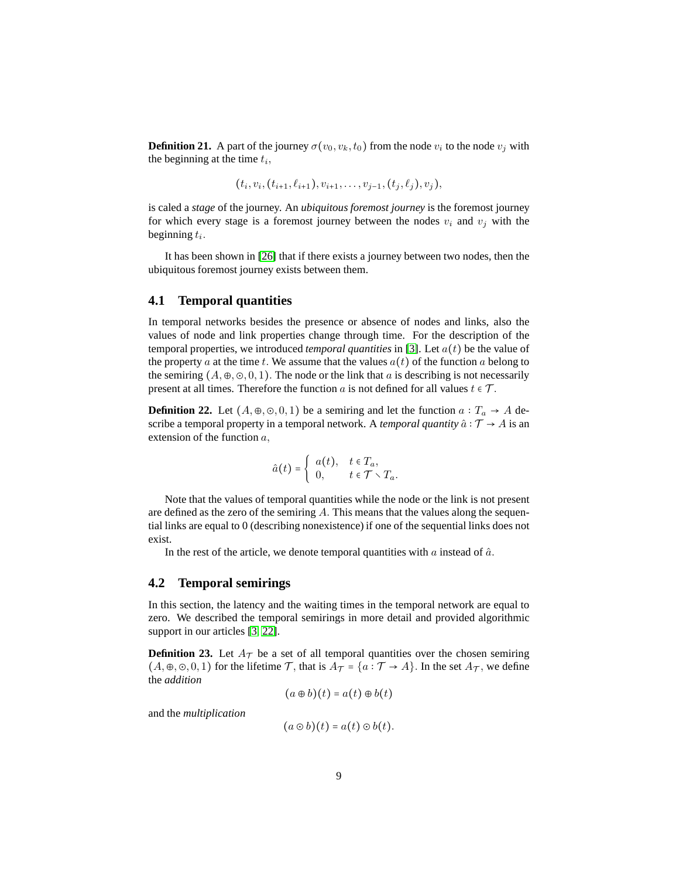**Definition 21.** A part of the journey  $\sigma(v_0, v_k, t_0)$  from the node  $v_i$  to the node  $v_j$  with the beginning at the time *t<sup>i</sup> ,*

$$
(t_i,v_i,(t_{i+1},\ell_{i+1}),v_{i+1},\ldots,v_{j-1},(t_j,\ell_j),v_j),
$$

is caled a *stage* of the journey. An *ubiquitous foremost journey* is the foremost journey for which every stage is a foremost journey between the nodes  $v_i$  and  $v_j$  with the beginning *t<sup>i</sup> .*

It has been shown in [\[26\]](#page-27-4) that if there exists a journey between two nodes, then the ubiquitous foremost journey exists between them.

### **4.1 Temporal quantities**

In temporal networks besides the presence or absence of nodes and links, also the values of node and link properties change through time. For the description of the temporal properties, we introduced *temporal quantities* in [\[3\]](#page-26-3). Let *a*(*t*) be the value of the property *a* at the time *t*. We assume that the values  $a(t)$  of the function *a* belong to the semiring  $(A, \oplus, \odot, 0, 1)$ . The node or the link that *a* is describing is not necessarily present at all times. Therefore the function *a* is not defined for all values  $t \in \mathcal{T}$ .

**Definition 22.** Let  $(A, \oplus, \odot, 0, 1)$  be a semiring and let the function  $a: T_a \rightarrow A$  describe a temporal property in a temporal network. A *temporal quantity*  $\hat{a}$  ∶  $\mathcal{T} \rightarrow A$  is an extension of the function *a,*

$$
\hat{a}(t) = \begin{cases} a(t), & t \in T_a, \\ 0, & t \in \mathcal{T} \setminus T_a. \end{cases}
$$

Note that the values of temporal quantities while the node or the link is not present are defined as the zero of the semiring *A.* This means that the values along the sequential links are equal to 0 (describing nonexistence) if one of the sequential links does not exist.

In the rest of the article, we denote temporal quantities with  $a$  instead of  $\hat{a}$ .

### **4.2 Temporal semirings**

In this section, the latency and the waiting times in the temporal network are equal to zero. We described the temporal semirings in more detail and provided algorithmic support in our articles [\[3,](#page-26-3) [22\]](#page-27-7).

<span id="page-8-0"></span>**Definition 23.** Let  $A_{\tau}$  be a set of all temporal quantities over the chosen semiring  $(A, \oplus, \odot, 0, 1)$  for the lifetime  $\mathcal{T}$ , that is  $A_{\mathcal{T}} = \{a : \mathcal{T} \to A\}$ . In the set  $A_{\mathcal{T}}$ , we define the *addition*

$$
(a \oplus b)(t) = a(t) \oplus b(t)
$$

and the *multiplication*

$$
(a\odot b)(t) = a(t)\odot b(t).
$$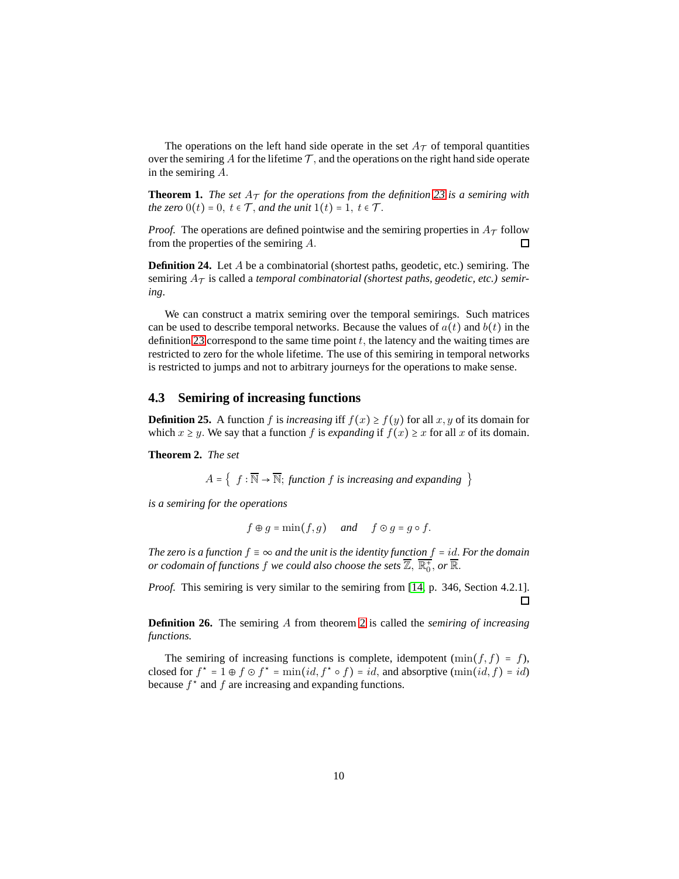The operations on the left hand side operate in the set  $A_{\mathcal{T}}$  of temporal quantities over the semiring A for the lifetime  $\mathcal{T}$ , and the operations on the right hand side operate in the semiring *A.*

**Theorem 1.** *The set*  $A_T$  *for the operations from the definition* [23](#page-8-0) *is a semiring with the zero*  $0(t) = 0$ *,*  $t \in \mathcal{T}$ *, and the unit*  $1(t) = 1$ *,*  $t \in \mathcal{T}$ *.* 

*Proof.* The operations are defined pointwise and the semiring properties in  $A<sub>T</sub>$  follow from the properties of the semiring *A.*  $\Box$ 

**Definition 24.** Let *A* be a combinatorial (shortest paths, geodetic, etc.) semiring. The semiring  $A_{\mathcal{T}}$  is called a *temporal combinatorial* (shortest paths, geodetic, etc.) semir*ing*.

We can construct a matrix semiring over the temporal semirings. Such matrices can be used to describe temporal networks. Because the values of  $a(t)$  and  $b(t)$  in the definition [23](#page-8-0) correspond to the same time point *t,* the latency and the waiting times are restricted to zero for the whole lifetime. The use of this semiring in temporal networks is restricted to jumps and not to arbitrary journeys for the operations to make sense.

### **4.3 Semiring of increasing functions**

**Definition 25.** A function *f* is *increasing* iff  $f(x) \ge f(y)$  for all *x*, *y* of its domain for which  $x \geq y$ . We say that a function f is *expanding* if  $f(x) \geq x$  for all x of its domain.

<span id="page-9-0"></span>**Theorem 2.** *The set*

 $A = \{ f : \overline{\mathbb{N}} \to \overline{\mathbb{N}};$  *function f is increasing and expanding*  $\}$ 

*is a semiring for the operations*

$$
f \oplus g = \min(f, g)
$$
 and  $f \odot g = g \circ f$ .

*The zero is a function*  $f \equiv \infty$  *and the unit is the identity function*  $f = id$ *. For the domain or codomain of functions*  $f$  *we could also choose the sets*  $\overline{\mathbb{Z}}, \, \overline{\mathbb{R}^+_0},$  *or*  $\overline{\mathbb{R}}.$ 

*Proof.* This semiring is very similar to the semiring from [\[14,](#page-26-7) p. 346, Section 4.2.1]. 口

**Definition 26.** The semiring *A* from theorem [2](#page-9-0) is called the *semiring of increasing functions.*

The semiring of increasing functions is complete, idempotent  $(\min(f, f) = f)$ , closed for  $f^* = 1 \oplus f \odot f^* = \min(id, f^* \circ f) = id$ , and absorptive  $(\min(id, f) = id)$ because  $f^*$  and  $f$  are increasing and expanding functions.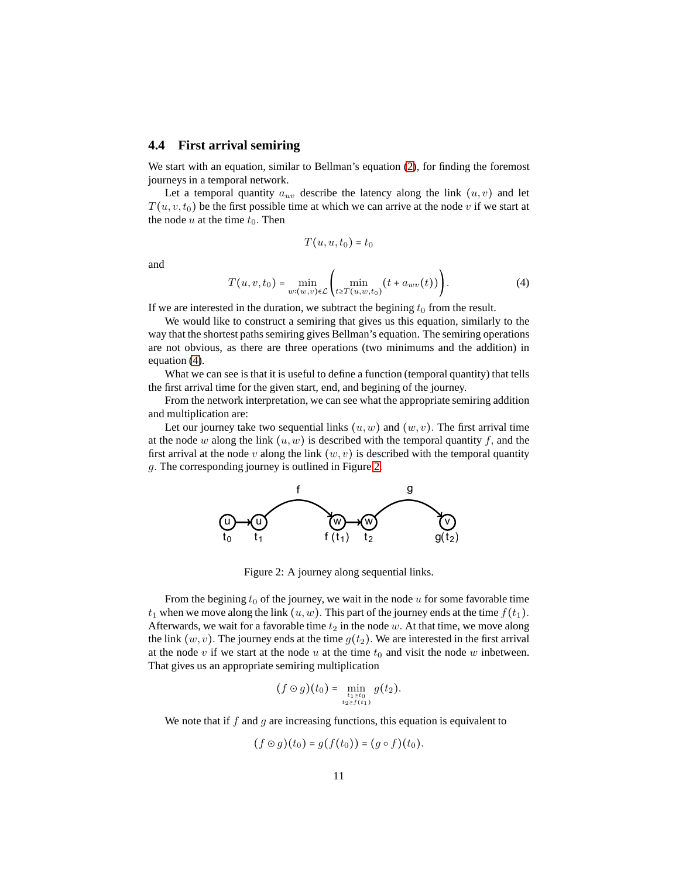### **4.4 First arrival semiring**

We start with an equation, similar to Bellman's equation [\(2\)](#page-5-1), for finding the foremost journeys in a temporal network.

Let a temporal quantity  $a_{uv}$  describe the latency along the link  $(u, v)$  and let  $T(u, v, t_0)$  be the first possible time at which we can arrive at the node *v* if we start at the node  $u$  at the time  $t_0$ . Then

$$
T(u, u, t_0) = t_0
$$

and

<span id="page-10-0"></span>
$$
T(u, v, t_0) = \min_{w: (w, v) \in \mathcal{L}} \left( \min_{t \ge T(u, w, t_0)} (t + a_{wv}(t)) \right).
$$
 (4)

If we are interested in the duration, we subtract the begining  $t_0$  from the result.

We would like to construct a semiring that gives us this equation, similarly to the way that the shortest paths semiring gives Bellman's equation. The semiring operations are not obvious, as there are three operations (two minimums and the addition) in equation [\(4\)](#page-10-0).

What we can see is that it is useful to define a function (temporal quantity) that tells the first arrival time for the given start, end, and begining of the journey.

From the network interpretation, we can see what the appropriate semiring addition and multiplication are:

<span id="page-10-1"></span>Let our journey take two sequential links  $(u, w)$  and  $(w, v)$ . The first arrival time at the node  $w$  along the link  $(u, w)$  is described with the temporal quantity  $f$ , and the first arrival at the node *v* along the link  $(w, v)$  is described with the temporal quantity *g.* The corresponding journey is outlined in Figure [2.](#page-10-1)



Figure 2: A journey along sequential links.

From the begining  $t_0$  of the journey, we wait in the node  $u$  for some favorable time  $t_1$  when we move along the link  $(u, w)$ . This part of the journey ends at the time  $f(t_1)$ . Afterwards, we wait for a favorable time  $t_2$  in the node  $w$ . At that time, we move along the link  $(w, v)$ . The journey ends at the time  $g(t_2)$ . We are interested in the first arrival at the node  $v$  if we start at the node  $u$  at the time  $t_0$  and visit the node  $w$  inbetween. That gives us an appropriate semiring multiplication

$$
(f \odot g)(t_0) = \min_{\substack{t_1 \ge t_0 \\ t_2 \ge f(t_1)}} g(t_2).
$$

We note that if *f* and *g* are increasing functions, this equation is equivalent to

$$
(f\odot g)(t_0)=g(f(t_0))=(g\circ f)(t_0).
$$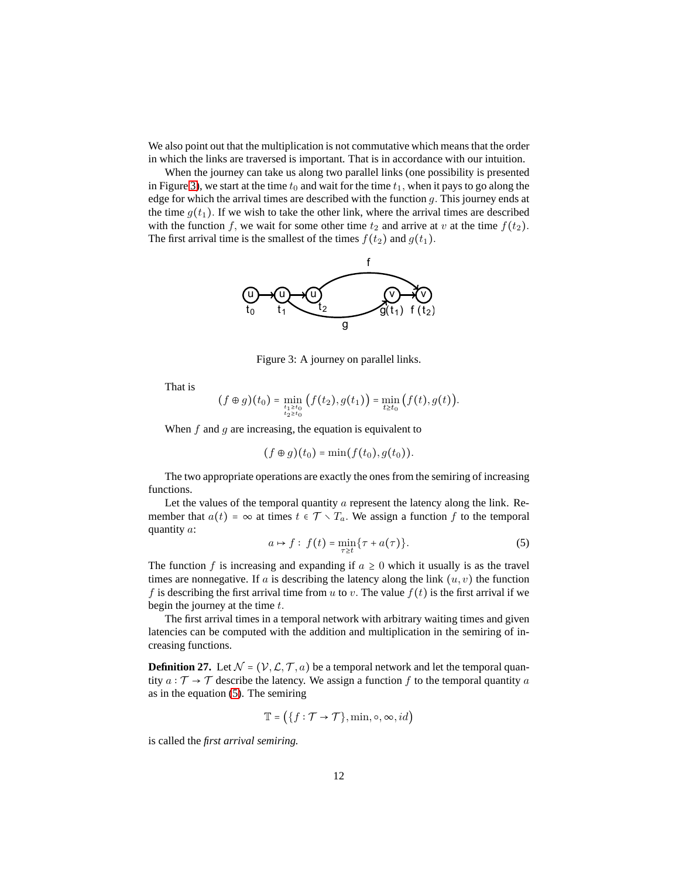We also point out that the multiplication is not commutative which means that the order in which the links are traversed is important. That is in accordance with our intuition.

<span id="page-11-0"></span>When the journey can take us along two parallel links (one possibility is presented in Figure [3\)](#page-11-0), we start at the time  $t_0$  and wait for the time  $t_1$ , when it pays to go along the edge for which the arrival times are described with the function *g.* This journey ends at the time  $g(t_1)$ . If we wish to take the other link, where the arrival times are described with the function *f*, we wait for some other time  $t_2$  and arrive at *v* at the time  $f(t_2)$ *.* The first arrival time is the smallest of the times  $f(t_2)$  and  $g(t_1)$ *.* 



Figure 3: A journey on parallel links.

That is

$$
(f \oplus g)(t_0) = \min_{\substack{t_1 \ge t_0 \\ t_2 \ge t_0}} (f(t_2), g(t_1)) = \min_{t \ge t_0} (f(t), g(t)).
$$

When *f* and *g* are increasing, the equation is equivalent to

$$
(f\oplus g)(t_0)=\min(f(t_0),g(t_0)).
$$

The two appropriate operations are exactly the ones from the semiring of increasing functions.

Let the values of the temporal quantity *a* represent the latency along the link. Remember that  $a(t) = \infty$  at times  $t \in \mathcal{T} \setminus T_a$ . We assign a function f to the temporal quantity *a*:

<span id="page-11-1"></span>
$$
a \mapsto f: f(t) = \min_{\tau \ge t} \{\tau + a(\tau)\}.
$$
 (5)

The function *f* is increasing and expanding if  $a \geq 0$  which it usually is as the travel times are nonnegative. If  $a$  is describing the latency along the link  $(u, v)$  the function *f* is describing the first arrival time from *u* to *v*. The value  $f(t)$  is the first arrival if we begin the journey at the time *t.*

The first arrival times in a temporal network with arbitrary waiting times and given latencies can be computed with the addition and multiplication in the semiring of increasing functions.

**Definition 27.** Let  $N = (V, \mathcal{L}, \mathcal{T}, a)$  be a temporal network and let the temporal quantity  $a : \mathcal{T} \to \mathcal{T}$  describe the latency. We assign a function f to the temporal quantity a as in the equation [\(5\)](#page-11-1). The semiring

$$
\mathbb{T} = \left( \{ f : \mathcal{T} \to \mathcal{T} \}, \min, \circ, \infty, id \right)
$$

is called the *first arrival semiring.*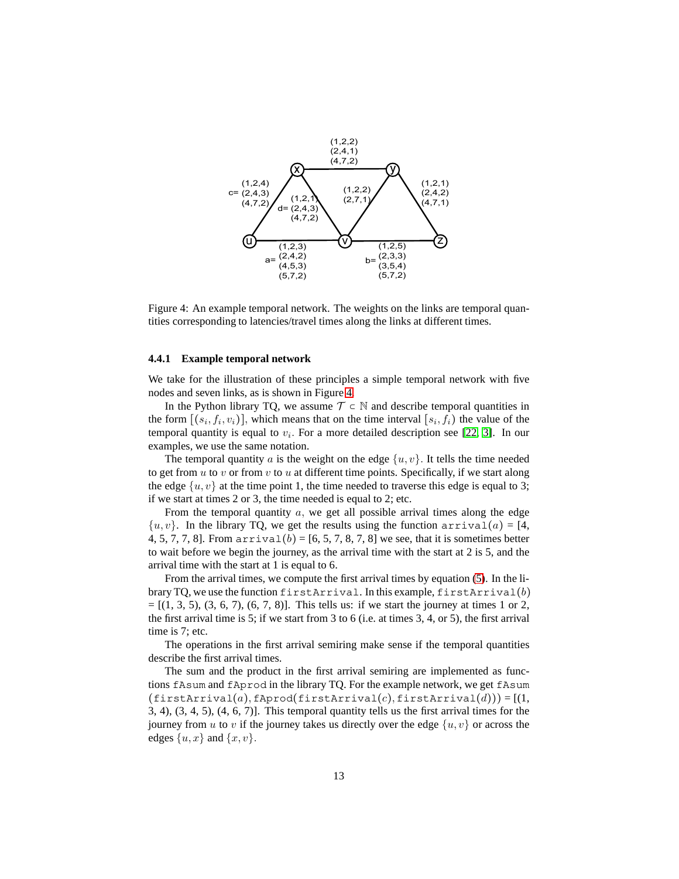<span id="page-12-0"></span>

Figure 4: An example temporal network. The weights on the links are temporal quantities corresponding to latencies/travel times along the links at different times.

#### **4.4.1 Example temporal network**

We take for the illustration of these principles a simple temporal network with five nodes and seven links, as is shown in Figure [4.](#page-12-0)

In the Python library TQ, we assume  $\mathcal{T} \subset \mathbb{N}$  and describe temporal quantities in the form  $[(s_i, f_i, v_i)]$ , which means that on the time interval  $[s_i, f_i)$  the value of the temporal quantity is equal to  $v_i$ . For a more detailed description see [\[22,](#page-27-7) [3\]](#page-26-3). In our examples, we use the same notation.

The temporal quantity *a* is the weight on the edge  $\{u, v\}$ . It tells the time needed to get from *u* to *v* or from *v* to *u* at different time points. Specifically, if we start along the edge  $\{u, v\}$  at the time point 1, the time needed to traverse this edge is equal to 3; if we start at times 2 or 3, the time needed is equal to 2; etc.

From the temporal quantity *a,* we get all possible arrival times along the edge  $\{u, v\}$ . In the library TQ, we get the results using the function  $\arctan(a) = [4,$ 4, 5, 7, 7, 8]. From  $\arctan(b) = [6, 5, 7, 8, 7, 8]$  we see, that it is sometimes better to wait before we begin the journey, as the arrival time with the start at 2 is 5, and the arrival time with the start at 1 is equal to 6.

From the arrival times, we compute the first arrival times by equation [\(5\)](#page-11-1). In the library TQ, we use the function firstArrival. In this example, firstArrival(*b*)  $=[(1, 3, 5), (3, 6, 7), (6, 7, 8)]$ . This tells us: if we start the journey at times 1 or 2, the first arrival time is 5; if we start from 3 to 6 (i.e. at times 3, 4, or 5), the first arrival time is 7; etc.

The operations in the first arrival semiring make sense if the temporal quantities describe the first arrival times.

The sum and the product in the first arrival semiring are implemented as functions fAsum and fAprod in the library TQ. For the example network, we get fAsum  $(firstArrival(a), fAprod(firstArrival(c), firstArrival(d))) = [(1,$ 3, 4), (3, 4, 5), (4, 6, 7)]. This temporal quantity tells us the first arrival times for the journey from *u* to *v* if the journey takes us directly over the edge  $\{u, v\}$  or across the edges  $\{u, x\}$  and  $\{x, v\}$ .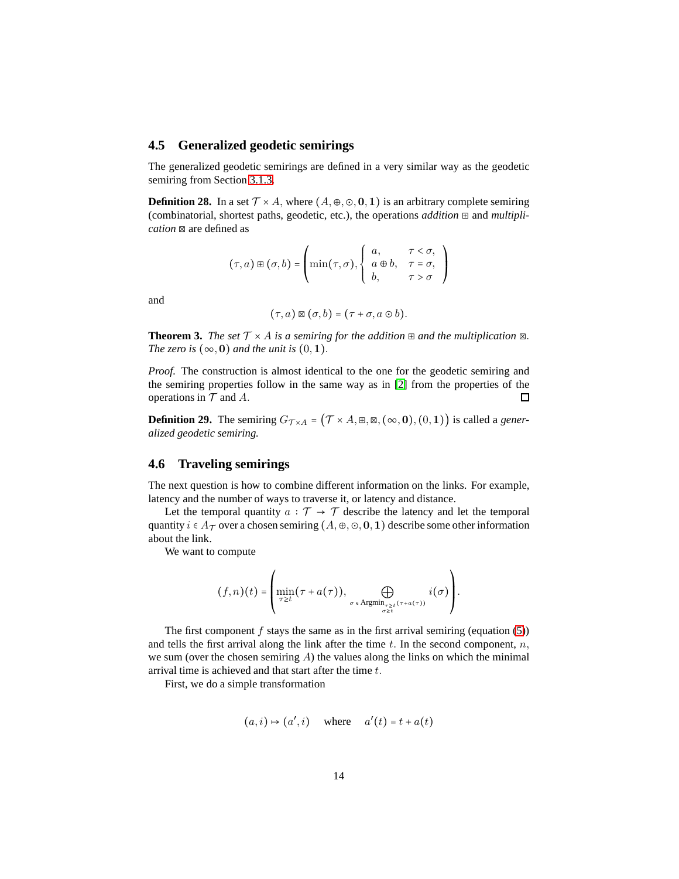## **4.5 Generalized geodetic semirings**

The generalized geodetic semirings are defined in a very similar way as the geodetic semiring from Section [3.1.3.](#page-6-1)

**Definition 28.** In a set  $\mathcal{T} \times A$ , where  $(A, \oplus, \odot, 0, 1)$  is an arbitrary complete semiring (combinatorial, shortest paths, geodetic, etc.), the operations *addition* ⊞ and *multiplication* ⊠ are defined as

$$
(\tau, a) \boxplus (\sigma, b) = \begin{pmatrix} a, & \tau < \sigma, \\ \min(\tau, \sigma), \begin{cases} a, & \tau < \sigma, \\ a \oplus b, & \tau = \sigma, \\ b, & \tau > \sigma \end{cases} \end{pmatrix}
$$

and

$$
(\tau,a)\boxtimes(\sigma,b)=(\tau+\sigma,a\odot b).
$$

**Theorem 3.** *The set*  $\mathcal{T} \times A$  *is a semiring for the addition*  $\mathbb{E}$  *and the multiplication*  $\mathbb{E}$ *. The zero is*  $(\infty, 0)$  *and the unit is*  $(0, 1)$ *.* 

*Proof.* The construction is almost identical to the one for the geodetic semiring and the semiring properties follow in the same way as in [\[2\]](#page-26-9) from the properties of the operations in  $T$  and  $A$ .  $\Box$ 

**Definition 29.** The semiring  $G_{\mathcal{T} \times A} = (\mathcal{T} \times A, \mathbb{H}, \mathbb{Z}, (\infty, 0), (0, 1))$  is called a *generalized geodetic semiring.*

## **4.6 Traveling semirings**

The next question is how to combine different information on the links. For example, latency and the number of ways to traverse it, or latency and distance.

Let the temporal quantity  $a : \mathcal{T} \to \mathcal{T}$  describe the latency and let the temporal quantity  $i \in A_{\mathcal{T}}$  over a chosen semiring  $(A, \oplus, \odot, \mathbf{0}, \mathbf{1})$  describe some other information about the link.

We want to compute

$$
(f,n)(t) = \left( \min_{\tau \geq t} (\tau + a(\tau)), \bigoplus_{\substack{\sigma \in \mathrm{Argmin}_{\tau \geq t} (\tau + a(\tau)) \\ \sigma \geq t}} i(\sigma) \right).
$$

The first component  $f$  stays the same as in the first arrival semiring (equation  $(5)$ ) and tells the first arrival along the link after the time  $t$ . In the second component,  $n$ , we sum (over the chosen semiring *A*) the values along the links on which the minimal arrival time is achieved and that start after the time *t.*

First, we do a simple transformation

$$
(a, i) \mapsto (a', i)
$$
 where  $a'(t) = t + a(t)$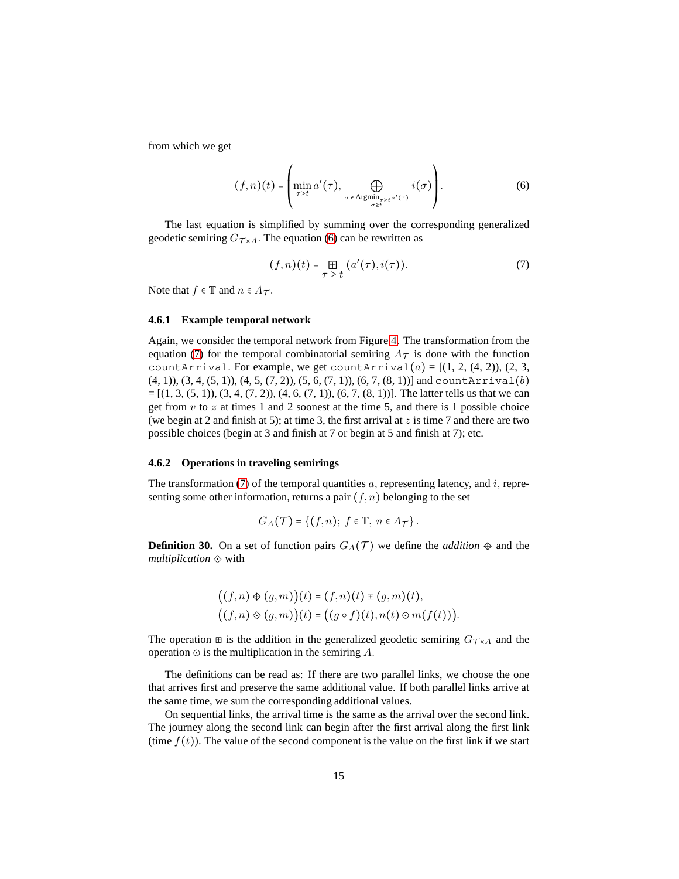from which we get

<span id="page-14-0"></span>
$$
(f,n)(t) = \left(\min_{\tau \ge t} a'(\tau), \bigoplus_{\sigma \in \text{Argmin}_{\sigma \ge t} a'(\tau)} i(\sigma)\right).
$$
 (6)

The last equation is simplified by summing over the corresponding generalized geodetic semiring  $G_{\mathcal{T} \times A}$ . The equation [\(6\)](#page-14-0) can be rewritten as

<span id="page-14-1"></span>
$$
(f,n)(t) = \mathop{\boxplus}_{\tau \geq t} (a'(\tau), i(\tau)). \tag{7}
$$

Note that  $f \in \mathbb{T}$  and  $n \in A_{\mathcal{T}}$ .

#### <span id="page-14-3"></span>**4.6.1 Example temporal network**

Again, we consider the temporal network from Figure [4.](#page-12-0) The transformation from the equation [\(7\)](#page-14-1) for the temporal combinatorial semiring  $A<sub>T</sub>$  is done with the function countArrival. For example, we get countArrival $(a) = [(1, 2, (4, 2)), (2, 3, 4)]$  $(4, 1)$ ,  $(3, 4, (5, 1))$ ,  $(4, 5, (7, 2))$ ,  $(5, 6, (7, 1))$ ,  $(6, 7, (8, 1))$ ] and countArrival(*b*)  $=[(1, 3, (5, 1)), (3, 4, (7, 2)), (4, 6, (7, 1)), (6, 7, (8, 1))]$ . The latter tells us that we can get from  $v$  to  $z$  at times 1 and 2 soonest at the time 5, and there is 1 possible choice (we begin at 2 and finish at 5); at time 3, the first arrival at *z* is time 7 and there are two possible choices (begin at 3 and finish at 7 or begin at 5 and finish at 7); etc.

#### **4.6.2 Operations in traveling semirings**

The transformation [\(7\)](#page-14-1) of the temporal quantities *a,* representing latency, and *i,* representing some other information, returns a pair  $(f, n)$  belonging to the set

$$
G_A(\mathcal{T}) = \{ (f,n); f \in \mathbb{T}, n \in A_{\mathcal{T}} \}.
$$

<span id="page-14-2"></span>**Definition 30.** On a set of function pairs  $G_A(\mathcal{T})$  we define the *addition*  $\oplus$  and the *multiplication* ⟐ with

$$
((f,n) \oplus (g,m))(t) = (f,n)(t) \boxplus (g,m)(t),
$$
  

$$
((f,n) \otimes (g,m))(t) = ((g \circ f)(t), n(t) \odot m(f(t))).
$$

The operation  $\equiv$  is the addition in the generalized geodetic semiring  $G_{\mathcal{T} \times A}$  and the operation ⊙ is the multiplication in the semiring *A.*

The definitions can be read as: If there are two parallel links, we choose the one that arrives first and preserve the same additional value. If both parallel links arrive at the same time, we sum the corresponding additional values.

On sequential links, the arrival time is the same as the arrival over the second link. The journey along the second link can begin after the first arrival along the first link (time  $f(t)$ ). The value of the second component is the value on the first link if we start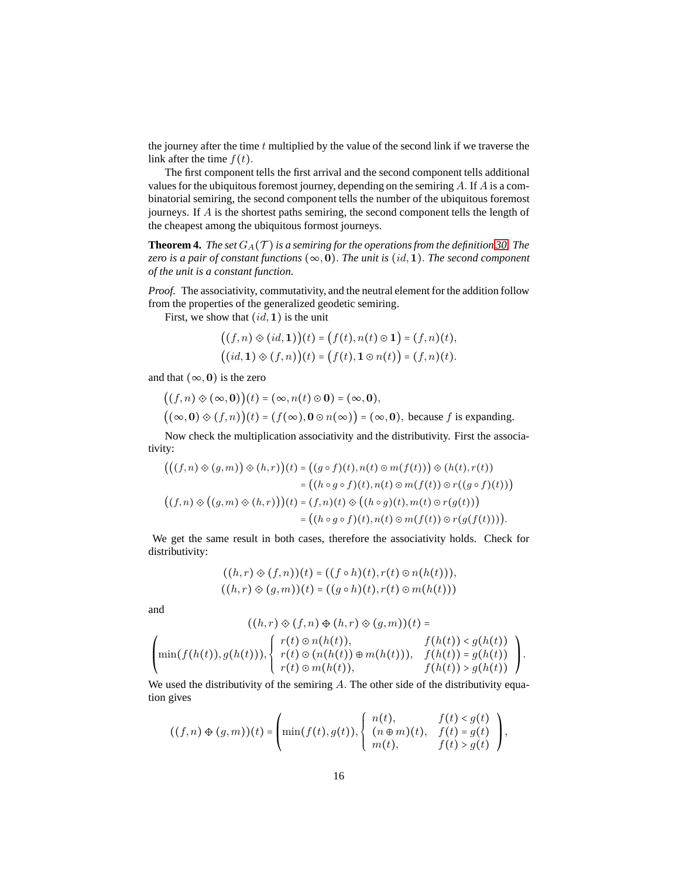the journey after the time *t* multiplied by the value of the second link if we traverse the link after the time  $f(t)$ .

The first component tells the first arrival and the second component tells additional values for the ubiquitous foremost journey, depending on the semiring *A.* If *A* is a combinatorial semiring, the second component tells the number of the ubiquitous foremost journeys. If *A* is the shortest paths semiring, the second component tells the length of the cheapest among the ubiquitous formost journeys.

**Theorem 4.** *The set*  $G_A(\mathcal{T})$  *is a semiring for the operations from the definition* [30.](#page-14-2) *The zero is a pair of constant functions*  $(\infty, 0)$ *. The unit is*  $(id, 1)$ *. The second component of the unit is a constant function.*

*Proof.* The associativity, commutativity, and the neutral element for the addition follow from the properties of the generalized geodetic semiring.

First, we show that (*id,***1**) is the unit

$$
((f,n)\otimes(id,1))(t) = (f(t),n(t)\circ 1) = (f,n)(t),((id,1)\otimes(f,n))(t) = (f(t),1\circ n(t)) = (f,n)(t).
$$

and that  $(\infty, 0)$  is the zero

$$
((f,n)\otimes(\infty,0))(t) = (\infty,n(t)\odot 0) = (\infty,0),
$$
  

$$
((\infty,0)\otimes(f,n))(t) = (f(\infty),0\odot n(\infty)) = (\infty,0),
$$
 because f is expanding.

Now check the multiplication associativity and the distributivity. First the associativity:

$$
(((f,n)\otimes (g,m))\otimes (h,r))(t) = ((g\circ f)(t), n(t)\circ m(f(t)))\otimes (h(t), r(t))
$$
  

$$
= ((h\circ g\circ f)(t), n(t)\circ m(f(t))\circ r((g\circ f)(t)))
$$
  

$$
((f,n)\otimes ((g,m)\otimes (h,r)))(t) = (f,n)(t)\otimes ((h\circ g)(t), m(t)\circ r(g(t)))
$$
  

$$
= ((h\circ g\circ f)(t), n(t)\circ m(f(t))\circ r(g(f(t))))).
$$

We get the same result in both cases, therefore the associativity holds. Check for distributivity:

$$
((h,r)\otimes (f,n))(t) = ((f\circ h)(t), r(t)\circ n(h(t))),
$$
  

$$
((h,r)\otimes (g,m))(t) = ((g\circ h)(t), r(t)\circ m(h(t)))
$$

and

$$
((h,r) \diamond (f,n) \diamond (h,r) \diamond (g,m))(t) =
$$
  

$$
\left(\min(f(h(t)),g(h(t))),\n\begin{cases}\nr(t) \circ n(h(t)), & f(h(t)) < g(h(t)) \\
r(t) \circ (n(h(t)) \oplus m(h(t))), & f(h(t)) = g(h(t)) \\
r(t) \circ m(h(t)), & f(h(t)) > g(h(t))\n\end{cases}\right)
$$

*.*

We used the distributivity of the semiring *A.* The other side of the distributivity equation gives

$$
((f,n)\oplus(g,m))(t)=\left(\min(f(t),g(t)),\begin{cases}n(t),&f(t)g(t)\\m(t),&f(t)>g(t)\end{cases}\right),
$$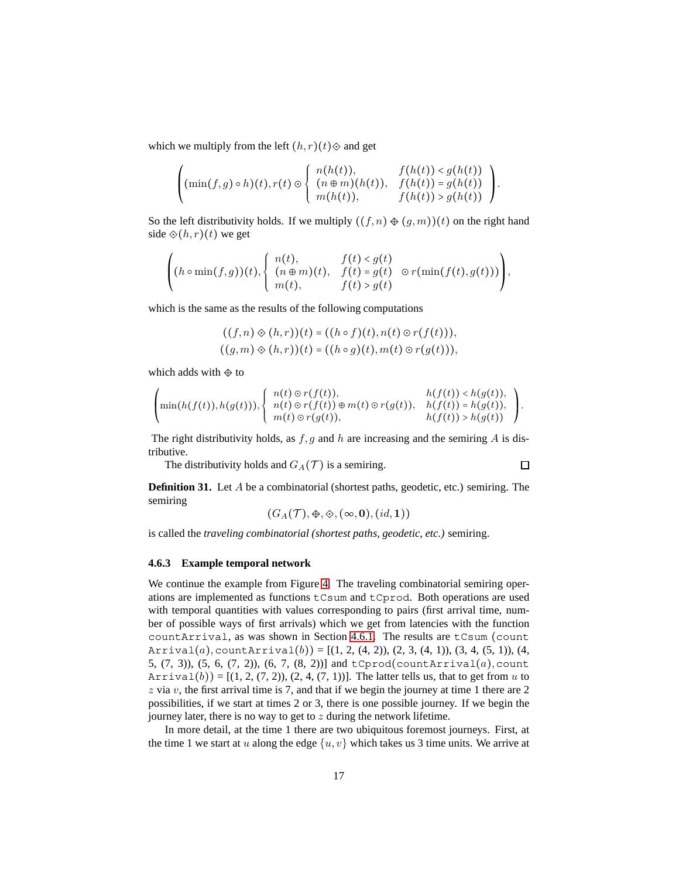which we multiply from the left  $(h, r)(t)$  $\diamond$  and get

$$
\left(\min(f,g)\circ h)(t),r(t)\odot\left\{\begin{array}{ll}n(h(t)),&f(h(t))< g(h(t))\\(n\oplus m)(h(t)),&f(h(t))> g(h(t))\\m(h(t)),&f(h(t))> g(h(t))\end{array}\right\}.
$$

So the left distributivity holds. If we multiply  $((f, n) \oplus (g, m))(t)$  on the right hand side  $\hat{\diamond}(h,r)(t)$  we get

$$
\left( (h \circ \min(f,g))(t), \begin{cases} n(t), & f(t) < g(t) \\ (n \oplus m)(t), & f(t) = g(t) \\ m(t), & f(t) > g(t) \end{cases} \right),
$$

which is the same as the results of the following computations

$$
((f,n)\otimes (h,r))(t) = ((h\circ f)(t), n(t)\circ r(f(t))),
$$
  

$$
((g,m)\otimes (h,r))(t) = ((h\circ g)(t), m(t)\circ r(g(t))),
$$

which adds with  $\Leftrightarrow$  to

$$
\left(\min(h(f(t)),h(g(t))),\begin{cases}n(t)\circ r(f(t)),&h(f(t))h(g(t))\end{cases}\right).
$$

The right distributivity holds, as *f, g* and *h* are increasing and the semiring *A* is distributive.

 $\Box$ 

The distributivity holds and  $G_A(\mathcal{T})$  is a semiring.

**Definition 31.** Let 
$$
A
$$
 be a combinatorial (shortest paths, geodetic, etc.) semiring. The semiring

$$
(G_A(\mathcal{T}),\oplus,\diamondsuit,(\infty,\mathbf{0}),(id,\mathbf{1}))
$$

is called the *traveling combinatorial (shortest paths, geodetic, etc.)* semiring.

#### **4.6.3 Example temporal network**

We continue the example from Figure [4.](#page-12-0) The traveling combinatorial semiring operations are implemented as functions tCsum and tCprod. Both operations are used with temporal quantities with values corresponding to pairs (first arrival time, number of possible ways of first arrivals) which we get from latencies with the function countArrival, as was shown in Section [4.6.1.](#page-14-3) The results are tCsum (count Arrival(*a*)<sub></sub>, countArrival(*b*)) =  $[(1, 2, (4, 2)), (2, 3, (4, 1)), (3, 4, (5, 1)), (4,$ 5, (7, 3)), (5, 6, (7, 2)), (6, 7, (8, 2))] and tCprod(countArrival(*a*)*,*count  $Arrival(b)$ ) =  $[(1, 2, (7, 2)), (2, 4, (7, 1))]$ . The latter tells us, that to get from *u* to *z* via *v*, the first arrival time is 7, and that if we begin the journey at time 1 there are 2 possibilities, if we start at times 2 or 3, there is one possible journey. If we begin the journey later, there is no way to get to *z* during the network lifetime.

In more detail, at the time 1 there are two ubiquitous foremost journeys. First, at the time 1 we start at *u* along the edge  $\{u, v\}$  which takes us 3 time units. We arrive at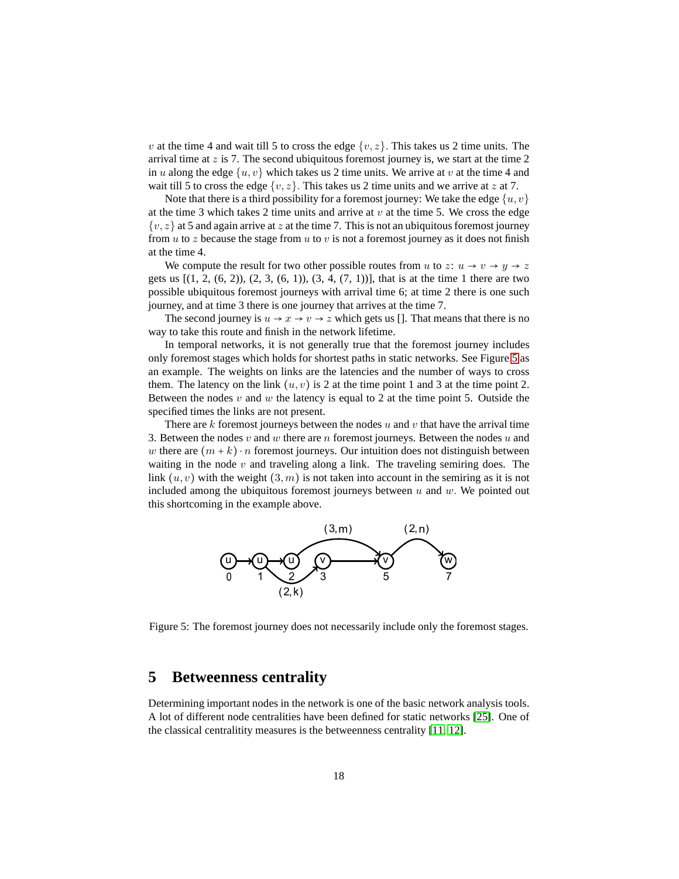*v* at the time 4 and wait till 5 to cross the edge  $\{v, z\}$ . This takes us 2 time units. The arrival time at *z* is 7. The second ubiquitous foremost journey is, we start at the time 2 in *u* along the edge  $\{u, v\}$  which takes us 2 time units. We arrive at *v* at the time 4 and wait till 5 to cross the edge  $\{v, z\}$ . This takes us 2 time units and we arrive at *z* at 7.

Note that there is a third possibility for a foremost journey: We take the edge  $\{u, v\}$ at the time 3 which takes 2 time units and arrive at  $v$  at the time 5. We cross the edge  $\{v, z\}$  at 5 and again arrive at *z* at the time 7. This is not an ubiquitous foremost journey from *u* to *z* because the stage from *u* to *v* is not a foremost journey as it does not finish at the time 4.

We compute the result for two other possible routes from *u* to *z*:  $u \rightarrow v \rightarrow y \rightarrow z$ gets us  $[(1, 2, (6, 2)), (2, 3, (6, 1)), (3, 4, (7, 1))]$ , that is at the time 1 there are two possible ubiquitous foremost journeys with arrival time 6; at time 2 there is one such journey, and at time 3 there is one journey that arrives at the time 7.

The second journey is  $u \to x \to v \to z$  which gets us []. That means that there is no way to take this route and finish in the network lifetime.

In temporal networks, it is not generally true that the foremost journey includes only foremost stages which holds for shortest paths in static networks. See Figure [5](#page-17-1) as an example. The weights on links are the latencies and the number of ways to cross them. The latency on the link  $(u, v)$  is 2 at the time point 1 and 3 at the time point 2. Between the nodes  $v$  and  $w$  the latency is equal to 2 at the time point 5. Outside the specified times the links are not present.

There are *k* foremost journeys between the nodes *u* and *v* that have the arrival time 3. Between the nodes *v* and *w* there are *n* foremost journeys. Between the nodes *u* and *w* there are  $(m + k) \cdot n$  foremost journeys. Our intuition does not distinguish between waiting in the node *v* and traveling along a link. The traveling semiring does. The link  $(u, v)$  with the weight  $(3, m)$  is not taken into account in the semiring as it is not included among the ubiquitous foremost journeys between *u* and *w.* We pointed out this shortcoming in the example above.

<span id="page-17-1"></span>

Figure 5: The foremost journey does not necessarily include only the foremost stages.

## <span id="page-17-0"></span>**5 Betweenness centrality**

Determining important nodes in the network is one of the basic network analysis tools. A lot of different node centralities have been defined for static networks [\[25\]](#page-27-11). One of the classical centralitity measures is the betweenness centrality [\[11,](#page-26-10) [12\]](#page-26-11).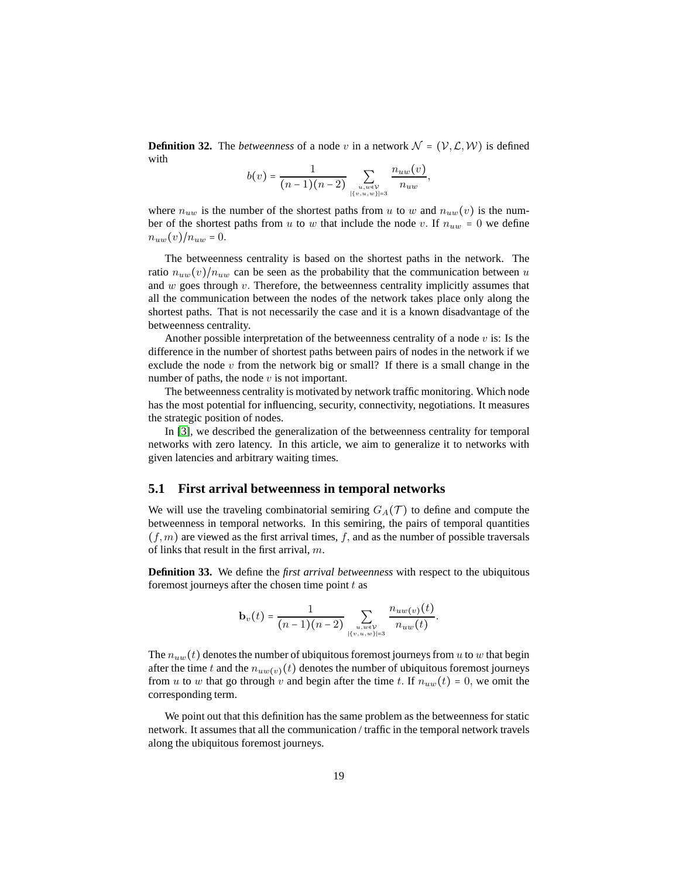**Definition 32.** The *betweenness* of a node *v* in a network  $\mathcal{N} = (\mathcal{V}, \mathcal{L}, \mathcal{W})$  is defined with

$$
b(v) = \frac{1}{(n-1)(n-2)} \sum_{\substack{u, w \in \mathcal{V} \\ |\{v, u, w\}| = 3}} \frac{n_{uw}(v)}{n_{uw}},
$$

where  $n_{uw}$  is the number of the shortest paths from *u* to *w* and  $n_{uw}(v)$  is the number of the shortest paths from *u* to *w* that include the node *v*. If  $n_{uw} = 0$  we define  $n_{uw}(v)/n_{uw} = 0.$ 

The betweenness centrality is based on the shortest paths in the network. The ratio  $n_{uw}(v)/n_{uw}$  can be seen as the probability that the communication between *u* and *w* goes through *v.* Therefore, the betweenness centrality implicitly assumes that all the communication between the nodes of the network takes place only along the shortest paths. That is not necessarily the case and it is a known disadvantage of the betweenness centrality.

Another possible interpretation of the betweenness centrality of a node *v* is: Is the difference in the number of shortest paths between pairs of nodes in the network if we exclude the node *v* from the network big or small? If there is a small change in the number of paths, the node *v* is not important.

The betweenness centrality is motivated by network traffic monitoring. Which node has the most potential for influencing, security, connectivity, negotiations. It measures the strategic position of nodes.

In [\[3\]](#page-26-3), we described the generalization of the betweenness centrality for temporal networks with zero latency. In this article, we aim to generalize it to networks with given latencies and arbitrary waiting times.

### **5.1 First arrival betweenness in temporal networks**

We will use the traveling combinatorial semiring  $G_A(\mathcal{T})$  to define and compute the betweenness in temporal networks. In this semiring, the pairs of temporal quantities  $(f, m)$  are viewed as the first arrival times,  $f$ , and as the number of possible traversals of links that result in the first arrival, *m*.

**Definition 33.** We define the *first arrival betweenness* with respect to the ubiquitous foremost journeys after the chosen time point *t* as

$$
\mathbf{b}_{v}(t) = \frac{1}{(n-1)(n-2)} \sum_{\substack{u, w \in \mathcal{V} \\ |\{v, u, w\}| = 3}} \frac{n_{uw}(v)(t)}{n_{uw}(t)}.
$$

The  $n_{uw}(t)$  denotes the number of ubiquitous foremost journeys from *u* to *w* that begin after the time *t* and the  $n_{uw(v)}(t)$  denotes the number of ubiquitous foremost journeys from *u* to *w* that go through *v* and begin after the time *t*. If  $n_{uw}(t) = 0$ , we omit the corresponding term.

We point out that this definition has the same problem as the betweenness for static network. It assumes that all the communication / traffic in the temporal network travels along the ubiquitous foremost journeys.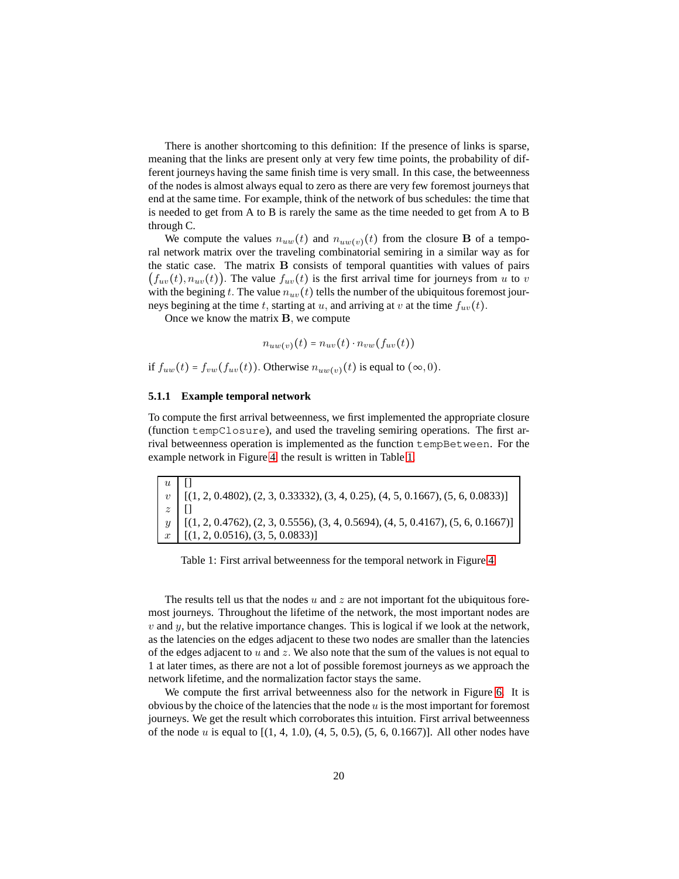There is another shortcoming to this definition: If the presence of links is sparse, meaning that the links are present only at very few time points, the probability of different journeys having the same finish time is very small. In this case, the betweenness of the nodes is almost always equal to zero as there are very few foremost journeys that end at the same time. For example, think of the network of bus schedules: the time that is needed to get from A to B is rarely the same as the time needed to get from A to B through C.

We compute the values  $n_{uw}(t)$  and  $n_{uw(v)}(t)$  from the closure **B** of a temporal network matrix over the traveling combinatorial semiring in a similar way as for the static case. The matrix **B** consists of temporal quantities with values of pairs  $(f_{uv}(t), n_{uv}(t))$ . The value  $f_{uv}(t)$  is the first arrival time for journeys from *u* to *v* with the begining *t*. The value  $n_{uv}(t)$  tells the number of the ubiquitous foremost journeys begining at the time *t,* starting at *u,* and arriving at *v* at the time *fuv*(*t*)*.*

Once we know the matrix **B***,* we compute

$$
n_{uw(v)}(t) = n_{uv}(t) \cdot n_{vw}(f_{uv}(t))
$$

if  $f_{uw}(t) = f_{vw}(f_{uv}(t))$ . Otherwise  $n_{uw(v)}(t)$  is equal to  $(\infty, 0)$ .

#### **5.1.1 Example temporal network**

To compute the first arrival betweenness, we first implemented the appropriate closure (function tempClosure), and used the traveling semiring operations. The first arrival betweenness operation is implemented as the function tempBetween. For the example network in Figure [4,](#page-12-0) the result is written in Table [1.](#page-19-0)

<span id="page-19-0"></span>

| $u$   [] |                                                                                                                                                                                                    |
|----------|----------------------------------------------------------------------------------------------------------------------------------------------------------------------------------------------------|
|          | $v$ [(1, 2, 0.4802), (2, 3, 0.33332), (3, 4, 0.25), (4, 5, 0.1667), (5, 6, 0.0833)]                                                                                                                |
| $z$   [] |                                                                                                                                                                                                    |
|          |                                                                                                                                                                                                    |
|          | $\begin{bmatrix} y \\ x \end{bmatrix}$ [(1, 2, 0.4762), (2, 3, 0.5556), (3, 4, 0.5694), (4, 5, 0.4167), (5, 6, 0.1667)]<br>$\begin{bmatrix} x \\ y \end{bmatrix}$ [(1, 2, 0.0516), (3, 5, 0.0833)] |

Table 1: First arrival betweenness for the temporal network in Figure [4.](#page-12-0)

The results tell us that the nodes *u* and *z* are not important fot the ubiquitous foremost journeys. Throughout the lifetime of the network, the most important nodes are  *and*  $*y*$ *, but the relative importance changes. This is logical if we look at the network,* as the latencies on the edges adjacent to these two nodes are smaller than the latencies of the edges adjacent to *u* and *z.* We also note that the sum of the values is not equal to 1 at later times, as there are not a lot of possible foremost journeys as we approach the network lifetime, and the normalization factor stays the same.

We compute the first arrival betweenness also for the network in Figure [6.](#page-20-0) It is obvious by the choice of the latencies that the node *u* is the most important for foremost journeys. We get the result which corroborates this intuition. First arrival betweenness of the node *u* is equal to [(1, 4, 1.0), (4, 5, 0.5), (5, 6, 0.1667)]. All other nodes have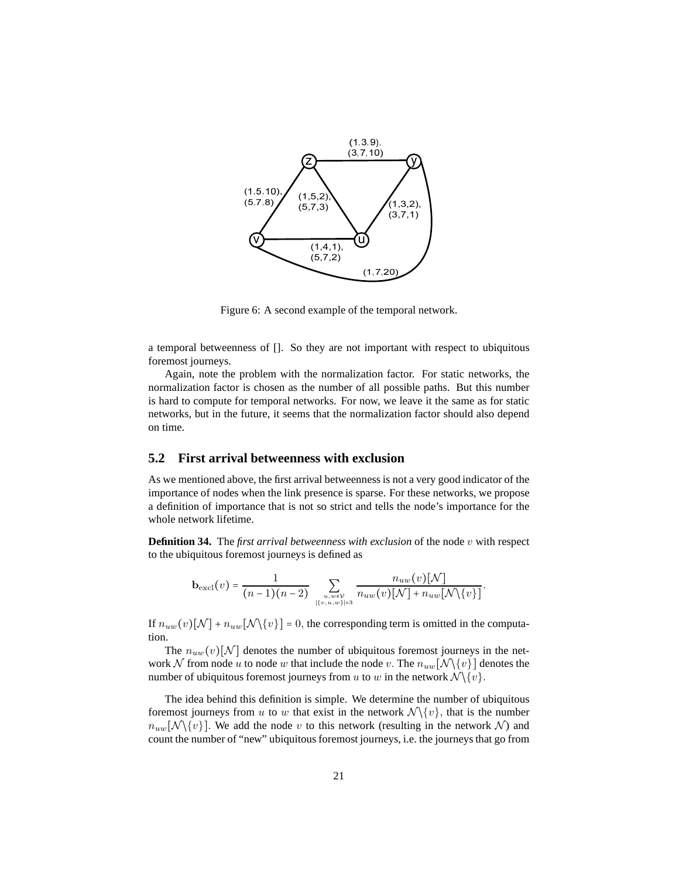<span id="page-20-0"></span>

Figure 6: A second example of the temporal network.

a temporal betweenness of []. So they are not important with respect to ubiquitous foremost journeys.

Again, note the problem with the normalization factor. For static networks, the normalization factor is chosen as the number of all possible paths. But this number is hard to compute for temporal networks. For now, we leave it the same as for static networks, but in the future, it seems that the normalization factor should also depend on time.

## **5.2 First arrival betweenness with exclusion**

As we mentioned above, the first arrival betweenness is not a very good indicator of the importance of nodes when the link presence is sparse. For these networks, we propose a definition of importance that is not so strict and tells the node's importance for the whole network lifetime.

**Definition 34.** The *first arrival betweenness with exclusion* of the node *v* with respect to the ubiquitous foremost journeys is defined as

$$
\mathbf{b}_{\rm excl}(v) = \frac{1}{(n-1)(n-2)} \sum_{\substack{u,w \in \mathcal{V} \\ |\{v,u,w\}| = 3}} \frac{n_{uw}(v)[\mathcal{N}]}{n_{uw}(v)[\mathcal{N}] + n_{uw}[\mathcal{N} \setminus \{v\}]}.
$$

If  $n_{uw}(v)[N] + n_{uw}[N\setminus\{v\}] = 0$ , the corresponding term is omitted in the computation.

The  $n_{uw}(v)[N]$  denotes the number of ubiquitous foremost journeys in the network N from node *u* to node *w* that include the node *v*. The  $n_{uw}[N\setminus\{v\}]$  denotes the number of ubiquitous foremost journeys from *u* to *w* in the network  $\mathcal{N}\setminus\{v\}$ .

The idea behind this definition is simple. We determine the number of ubiquitous foremost journeys from *u* to *w* that exist in the network  $\mathcal{N}\setminus\{v\}$ , that is the number  $n_{uw}[\mathcal{N}\setminus\{v\}]$ . We add the node *v* to this network (resulting in the network N) and count the number of "new" ubiquitous foremost journeys, i.e. the journeys that go from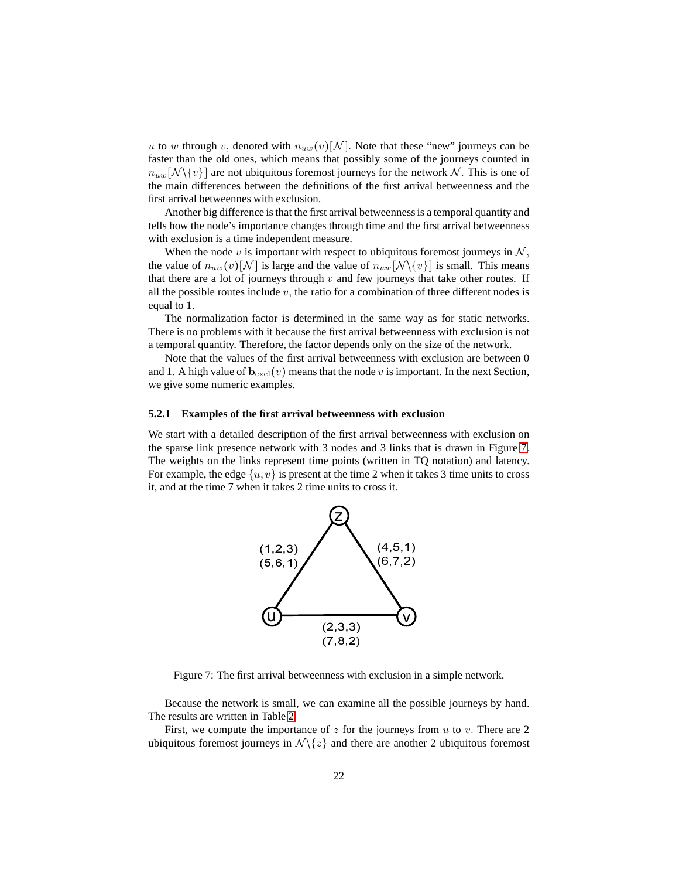*u* to *w* through *v*, denoted with  $n_{uw}(v)[N]$ . Note that these "new" journeys can be faster than the old ones, which means that possibly some of the journeys counted in  $n_{uw}[\mathcal{N}\setminus\{v\}]$  are not ubiquitous foremost journeys for the network  $\mathcal{N}$ . This is one of the main differences between the definitions of the first arrival betweenness and the first arrival betweennes with exclusion.

Another big difference is that the first arrival betweennessis a temporal quantity and tells how the node's importance changes through time and the first arrival betweenness with exclusion is a time independent measure.

When the node  $v$  is important with respect to ubiquitous foremost journeys in  $N$ , the value of  $n_{uw}(v)[N]$  is large and the value of  $n_{uw}[N\setminus\{v\}]$  is small. This means that there are a lot of journeys through  $v$  and few journeys that take other routes. If all the possible routes include  $v$ , the ratio for a combination of three different nodes is equal to 1.

The normalization factor is determined in the same way as for static networks. There is no problems with it because the first arrival betweenness with exclusion is not a temporal quantity. Therefore, the factor depends only on the size of the network.

Note that the values of the first arrival betweenness with exclusion are between 0 and 1. A high value of  $\mathbf{b}_{\text{excl}}(v)$  means that the node *v* is important. In the next Section, we give some numeric examples.

#### **5.2.1 Examples of the first arrival betweenness with exclusion**

<span id="page-21-0"></span>We start with a detailed description of the first arrival betweenness with exclusion on the sparse link presence network with 3 nodes and 3 links that is drawn in Figure [7.](#page-21-0) The weights on the links represent time points (written in TQ notation) and latency. For example, the edge  $\{u, v\}$  is present at the time 2 when it takes 3 time units to cross it, and at the time 7 when it takes 2 time units to cross it.



Figure 7: The first arrival betweenness with exclusion in a simple network.

Because the network is small, we can examine all the possible journeys by hand. The results are written in Table [2.](#page-22-0)

First, we compute the importance of *z* for the journeys from *u* to *v.* There are 2 ubiquitous foremost journeys in  $\mathcal{N}\lbrace z \rbrace$  and there are another 2 ubiquitous foremost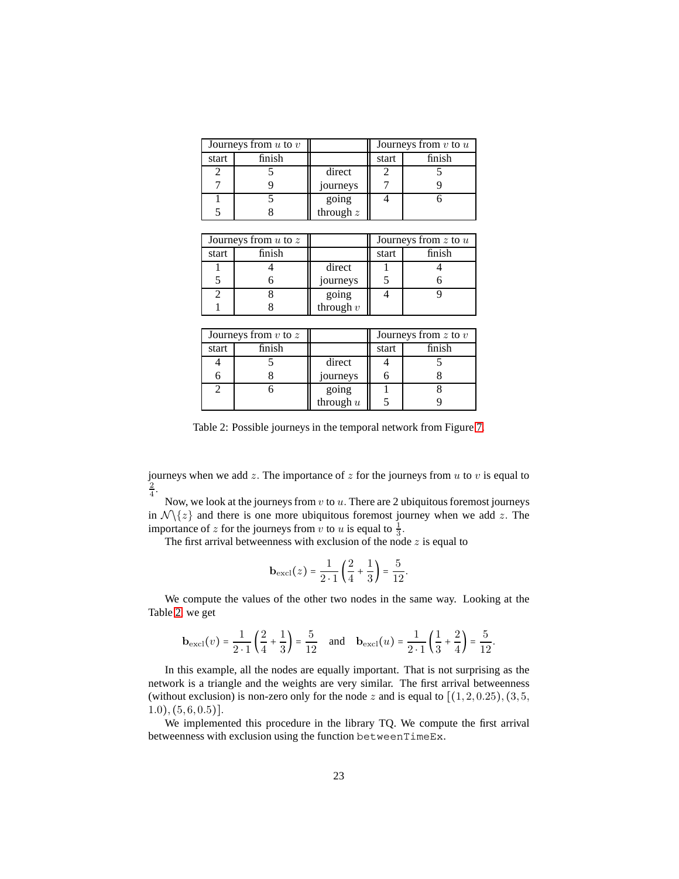<span id="page-22-0"></span>

| Journeys from $u$ to $v$ |        |                      | Journeys from $v$ to $u$ |        |
|--------------------------|--------|----------------------|--------------------------|--------|
| start                    | finish |                      | start                    | finish |
|                          |        | direct               |                          |        |
|                          |        | journeys             |                          |        |
|                          |        |                      |                          |        |
|                          |        | going<br>through $z$ |                          |        |

| Journeys from $u$ to $z$ |        |                      | Journeys from $z$ to $u$ |        |
|--------------------------|--------|----------------------|--------------------------|--------|
| start                    | finish |                      | start                    | finish |
|                          |        | direct               |                          |        |
|                          |        | journeys             |                          |        |
|                          |        |                      |                          |        |
|                          |        | going<br>through $v$ |                          |        |

|       | Journeys from $v$ to $z$ |             | Journeys from $z$ to $v$ |        |
|-------|--------------------------|-------------|--------------------------|--------|
| start | finish                   |             | start                    | finish |
|       |                          | direct      |                          |        |
|       |                          | journeys    |                          |        |
|       |                          | going       |                          |        |
|       |                          | through $u$ |                          |        |

Table 2: Possible journeys in the temporal network from Figure [7.](#page-21-0)

journeys when we add *z.* The importance of *z* for the journeys from *u* to *v* is equal to 2 4 *.*

Now, we look at the journeys from *v* to *u.* There are 2 ubiquitous foremost journeys in  $\mathcal{N}\langle z \rangle$  and there is one more ubiquitous foremost journey when we add *z*. The importance of *z* for the journeys from *v* to *u* is equal to  $\frac{1}{3}$ .

The first arrival betweenness with exclusion of the node *z* is equal to

$$
\mathbf{b}_{\text{excl}}(z) = \frac{1}{2 \cdot 1} \left( \frac{2}{4} + \frac{1}{3} \right) = \frac{5}{12}.
$$

We compute the values of the other two nodes in the same way. Looking at the Table [2,](#page-22-0) we get

$$
\mathbf{b}_{\text{excl}}(v) = \frac{1}{2 \cdot 1} \left( \frac{2}{4} + \frac{1}{3} \right) = \frac{5}{12} \quad \text{and} \quad \mathbf{b}_{\text{excl}}(u) = \frac{1}{2 \cdot 1} \left( \frac{1}{3} + \frac{2}{4} \right) = \frac{5}{12}.
$$

In this example, all the nodes are equally important. That is not surprising as the network is a triangle and the weights are very similar. The first arrival betweenness (without exclusion) is non-zero only for the node  $z$  and is equal to  $[(1, 2, 0.25), (3, 5, 1, 1, 2, 0.25)]$ 1*.*0)*,* (5*,* 6*,* 0*.*5)]*.*

We implemented this procedure in the library TQ. We compute the first arrival betweenness with exclusion using the function betweenTimeEx.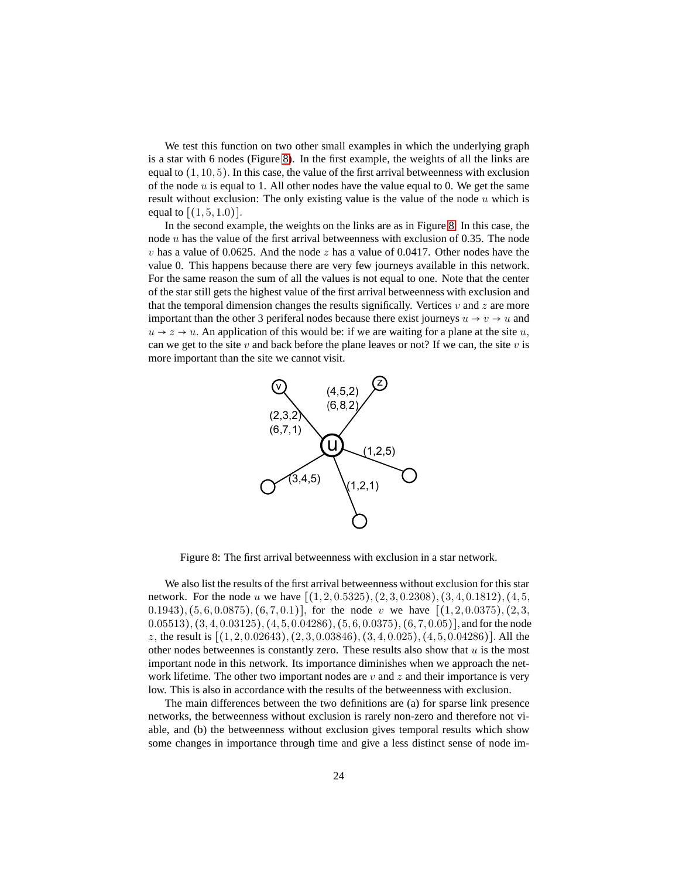We test this function on two other small examples in which the underlying graph is a star with 6 nodes (Figure [8\)](#page-23-0). In the first example, the weights of all the links are equal to (1*,* 10*,* 5)*.* In this case, the value of the first arrival betweenness with exclusion of the node *u* is equal to 1. All other nodes have the value equal to 0. We get the same result without exclusion: The only existing value is the value of the node *u* which is equal to  $[(1, 5, 1.0)]$ .

In the second example, the weights on the links are as in Figure [8.](#page-23-0) In this case, the node *u* has the value of the first arrival betweenness with exclusion of 0.35. The node *v* has a value of 0.0625. And the node *z* has a value of 0.0417. Other nodes have the value 0. This happens because there are very few journeys available in this network. For the same reason the sum of all the values is not equal to one. Note that the center of the star still gets the highest value of the first arrival betweenness with exclusion and that the temporal dimension changes the results significally. Vertices *v* and *z* are more important than the other 3 periferal nodes because there exist journeys  $u \rightarrow v \rightarrow u$  and  $u \rightarrow z \rightarrow u$ . An application of this would be: if we are waiting for a plane at the site *u*, can we get to the site  $v$  and back before the plane leaves or not? If we can, the site  $v$  is more important than the site we cannot visit.

<span id="page-23-0"></span>

Figure 8: The first arrival betweenness with exclusion in a star network.

We also list the results of the first arrival betweenness without exclusion for this star network. For the node *u* we have [(1*,* 2*,* 0*.*5325)*,* (2*,* 3*,* 0*.*2308)*,* (3*,* 4*,* 0*.*1812)*,* (4*,* 5*,* 0*.*1943)*,* (5*,* 6*,* 0*.*0875)*,* (6*,* 7*,* 0*.*1)]*,* for the node *v* we have [(1*,* 2*,* 0*.*0375)*,* (2*,* 3*,* 0*.*05513)*,* (3*,* 4*,* 0*.*03125)*,* (4*,* 5*,* 0*.*04286)*,* (5*,* 6*,* 0*.*0375)*,* (6*,* 7*,* 0*.*05)]*,* and for the node *z,* the result is [(1*,* 2*,* 0*.*02643)*,* (2*,* 3*,* 0*.*03846)*,* (3*,* 4*,* 0*.*025)*,* (4*,* 5*,* 0*.*04286)]*.* All the other nodes betweennes is constantly zero. These results also show that *u* is the most important node in this network. Its importance diminishes when we approach the network lifetime. The other two important nodes are *v* and *z* and their importance is very low. This is also in accordance with the results of the betweenness with exclusion.

The main differences between the two definitions are (a) for sparse link presence networks, the betweenness without exclusion is rarely non-zero and therefore not viable, and (b) the betweenness without exclusion gives temporal results which show some changes in importance through time and give a less distinct sense of node im-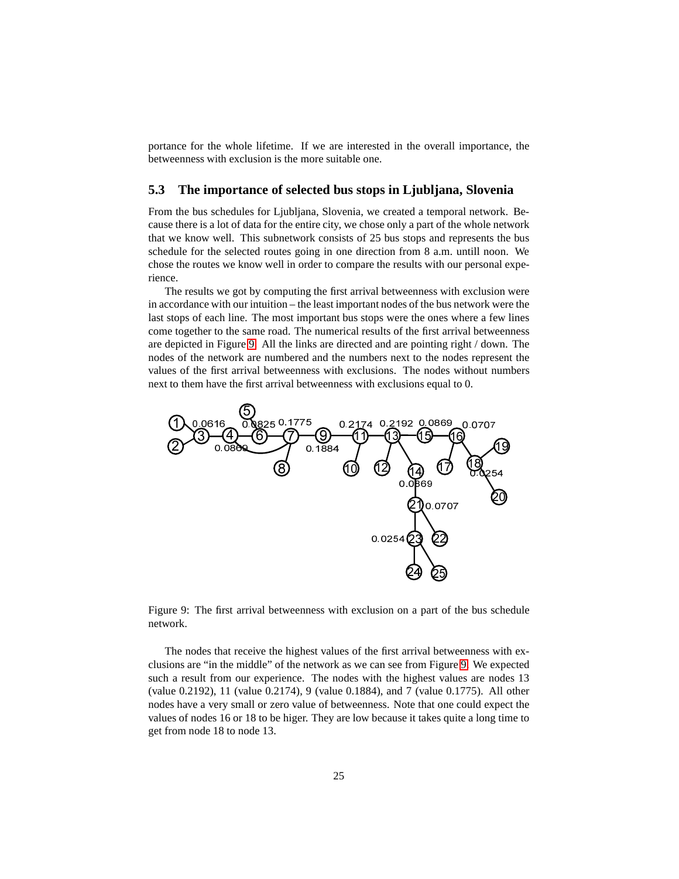portance for the whole lifetime. If we are interested in the overall importance, the betweenness with exclusion is the more suitable one.

### **5.3 The importance of selected bus stops in Ljubljana, Slovenia**

From the bus schedules for Ljubljana, Slovenia, we created a temporal network. Because there is a lot of data for the entire city, we chose only a part of the whole network that we know well. This subnetwork consists of 25 bus stops and represents the bus schedule for the selected routes going in one direction from 8 a.m. untill noon. We chose the routes we know well in order to compare the results with our personal experience.

The results we got by computing the first arrival betweenness with exclusion were in accordance with our intuition – the least important nodes of the bus network were the last stops of each line. The most important bus stops were the ones where a few lines come together to the same road. The numerical results of the first arrival betweenness are depicted in Figure [9.](#page-24-0) All the links are directed and are pointing right / down. The nodes of the network are numbered and the numbers next to the nodes represent the values of the first arrival betweenness with exclusions. The nodes without numbers next to them have the first arrival betweenness with exclusions equal to 0.

<span id="page-24-0"></span>

Figure 9: The first arrival betweenness with exclusion on a part of the bus schedule network.

The nodes that receive the highest values of the first arrival betweenness with exclusions are "in the middle" of the network as we can see from Figure [9.](#page-24-0) We expected such a result from our experience. The nodes with the highest values are nodes 13 (value 0.2192), 11 (value 0.2174), 9 (value 0.1884), and 7 (value 0.1775). All other nodes have a very small or zero value of betweenness. Note that one could expect the values of nodes 16 or 18 to be higer. They are low because it takes quite a long time to get from node 18 to node 13.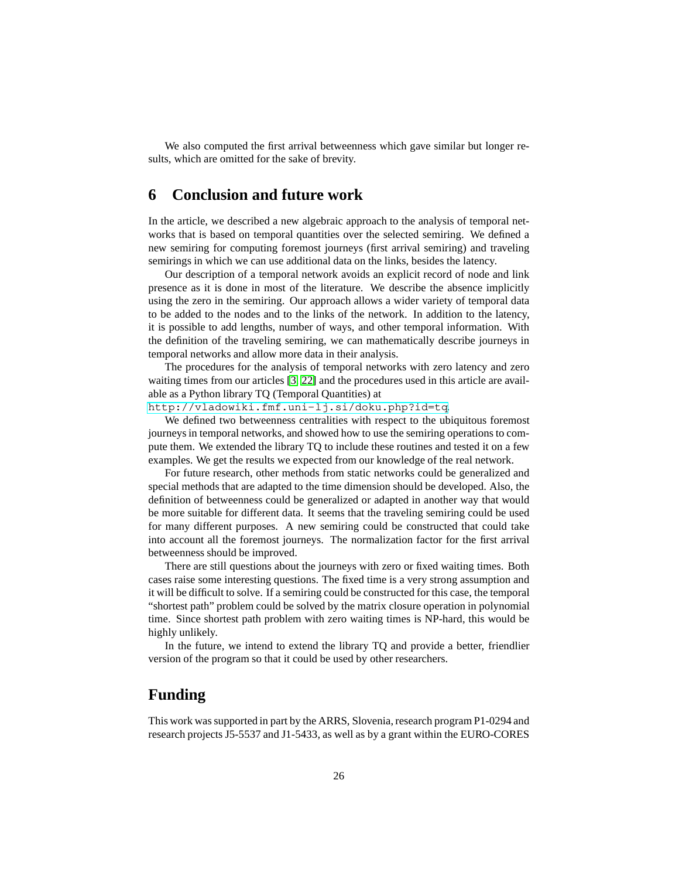We also computed the first arrival betweenness which gave similar but longer results, which are omitted for the sake of brevity.

## <span id="page-25-0"></span>**6 Conclusion and future work**

In the article, we described a new algebraic approach to the analysis of temporal networks that is based on temporal quantities over the selected semiring. We defined a new semiring for computing foremost journeys (first arrival semiring) and traveling semirings in which we can use additional data on the links, besides the latency.

Our description of a temporal network avoids an explicit record of node and link presence as it is done in most of the literature. We describe the absence implicitly using the zero in the semiring. Our approach allows a wider variety of temporal data to be added to the nodes and to the links of the network. In addition to the latency, it is possible to add lengths, number of ways, and other temporal information. With the definition of the traveling semiring, we can mathematically describe journeys in temporal networks and allow more data in their analysis.

The procedures for the analysis of temporal networks with zero latency and zero waiting times from our articles [\[3,](#page-26-3) [22\]](#page-27-7) and the procedures used in this article are available as a Python library TQ (Temporal Quantities) at

<http://vladowiki.fmf.uni-lj.si/doku.php?id=tq>.

We defined two betweenness centralities with respect to the ubiquitous foremost journeys in temporal networks, and showed how to use the semiring operations to compute them. We extended the library TQ to include these routines and tested it on a few examples. We get the results we expected from our knowledge of the real network.

For future research, other methods from static networks could be generalized and special methods that are adapted to the time dimension should be developed. Also, the definition of betweenness could be generalized or adapted in another way that would be more suitable for different data. It seems that the traveling semiring could be used for many different purposes. A new semiring could be constructed that could take into account all the foremost journeys. The normalization factor for the first arrival betweenness should be improved.

There are still questions about the journeys with zero or fixed waiting times. Both cases raise some interesting questions. The fixed time is a very strong assumption and it will be difficult to solve. If a semiring could be constructed for this case, the temporal "shortest path" problem could be solved by the matrix closure operation in polynomial time. Since shortest path problem with zero waiting times is NP-hard, this would be highly unlikely.

In the future, we intend to extend the library TQ and provide a better, friendlier version of the program so that it could be used by other researchers.

## **Funding**

This work was supported in part by the ARRS, Slovenia, research program P1-0294 and research projects J5-5537 and J1-5433, as well as by a grant within the EURO-CORES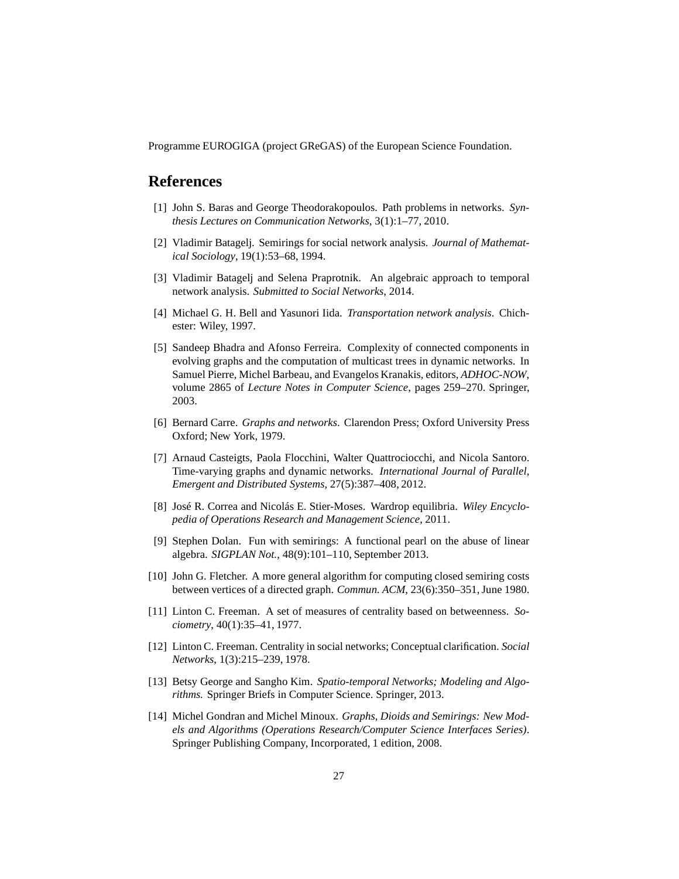Programme EUROGIGA (project GReGAS) of the European Science Foundation.

## **References**

- <span id="page-26-9"></span>[1] John S. Baras and George Theodorakopoulos. Path problems in networks. *Synthesis Lectures on Communication Networks*, 3(1):1–77, 2010.
- [2] Vladimir Batagelj. Semirings for social network analysis. *Journal of Mathematical Sociology*, 19(1):53–68, 1994.
- <span id="page-26-3"></span><span id="page-26-0"></span>[3] Vladimir Batagelj and Selena Praprotnik. An algebraic approach to temporal network analysis. *Submitted to Social Networks*, 2014.
- [4] Michael G. H. Bell and Yasunori Iida. *Transportation network analysis*. Chichester: Wiley, 1997.
- <span id="page-26-4"></span>[5] Sandeep Bhadra and Afonso Ferreira. Complexity of connected components in evolving graphs and the computation of multicast trees in dynamic networks. In Samuel Pierre, Michel Barbeau, and Evangelos Kranakis, editors, *ADHOC-NOW*, volume 2865 of *Lecture Notes in Computer Science*, pages 259–270. Springer, 2003.
- <span id="page-26-5"></span>[6] Bernard Carre. *Graphs and networks*. Clarendon Press; Oxford University Press Oxford; New York, 1979.
- <span id="page-26-2"></span>[7] Arnaud Casteigts, Paola Flocchini, Walter Quattrociocchi, and Nicola Santoro. Time-varying graphs and dynamic networks. *International Journal of Parallel, Emergent and Distributed Systems*, 27(5):387–408, 2012.
- <span id="page-26-1"></span>[8] José R. Correa and Nicolás E. Stier-Moses. Wardrop equilibria. *Wiley Encyclopedia of Operations Research and Management Science*, 2011.
- <span id="page-26-6"></span>[9] Stephen Dolan. Fun with semirings: A functional pearl on the abuse of linear algebra. *SIGPLAN Not.*, 48(9):101–110, September 2013.
- <span id="page-26-10"></span><span id="page-26-8"></span>[10] John G. Fletcher. A more general algorithm for computing closed semiring costs between vertices of a directed graph. *Commun. ACM*, 23(6):350–351, June 1980.
- [11] Linton C. Freeman. A set of measures of centrality based on betweenness. *Sociometry*, 40(1):35–41, 1977.
- <span id="page-26-11"></span>[12] Linton C. Freeman. Centrality in social networks; Conceptual clarification. *Social Networks*, 1(3):215–239, 1978.
- [13] Betsy George and Sangho Kim. *Spatio-temporal Networks; Modeling and Algorithms.* Springer Briefs in Computer Science. Springer, 2013.
- <span id="page-26-7"></span>[14] Michel Gondran and Michel Minoux. *Graphs, Dioids and Semirings: New Models and Algorithms (Operations Research/Computer Science Interfaces Series)*. Springer Publishing Company, Incorporated, 1 edition, 2008.